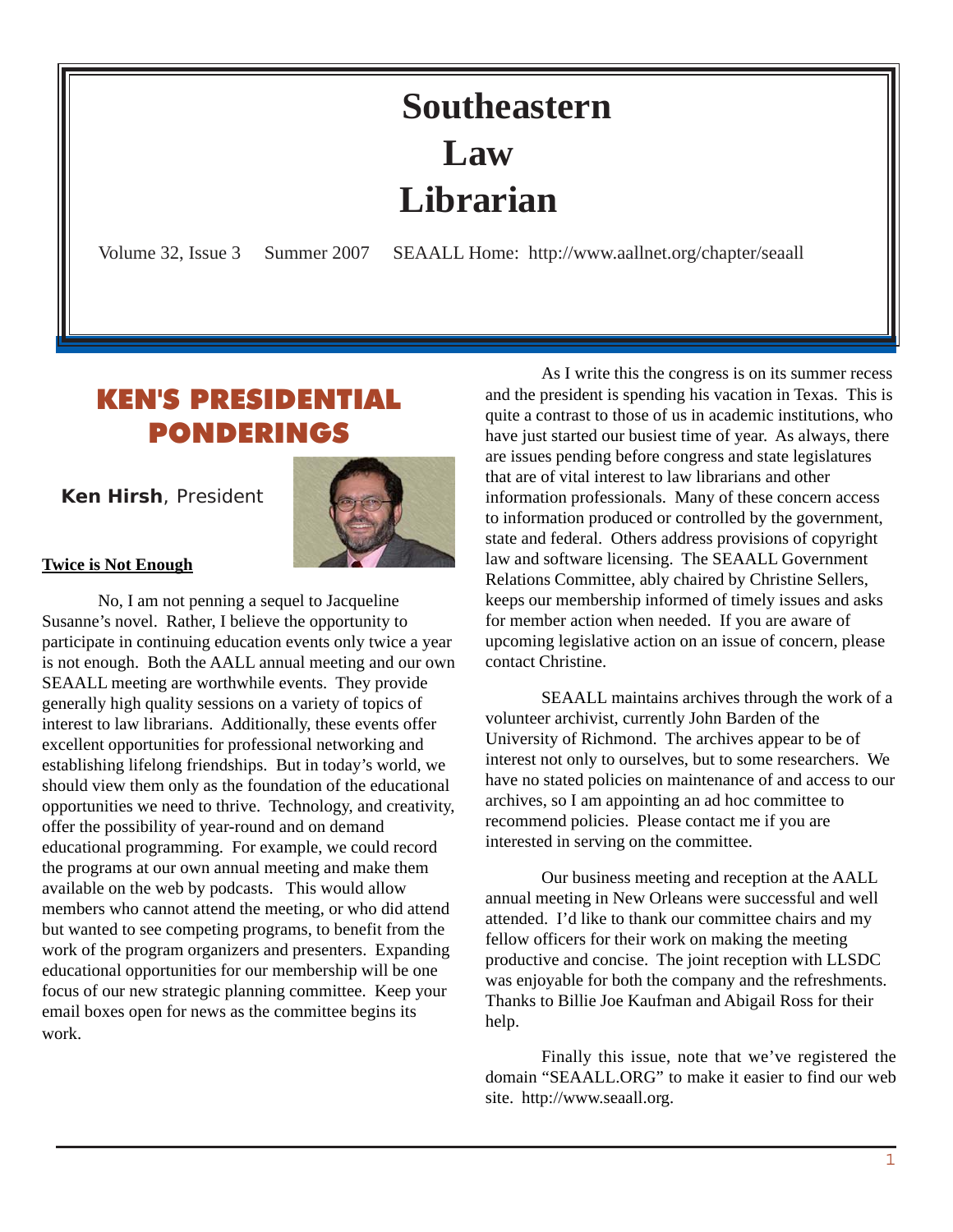# **Southeastern Law Librarian**

<span id="page-0-0"></span>Volume 32, Issue 3 Summer 2007 SEAALL Home: http://www.aallnet.org/chapter/seaall

# KEN'S PRESIDENTIAL PONDERINGS

 **Ken Hirsh**, President



#### **Twice is Not Enough**

No, I am not penning a sequel to Jacqueline Susanne's novel. Rather, I believe the opportunity to participate in continuing education events only twice a year is not enough. Both the AALL annual meeting and our own SEAALL meeting are worthwhile events. They provide generally high quality sessions on a variety of topics of interest to law librarians. Additionally, these events offer excellent opportunities for professional networking and establishing lifelong friendships. But in today's world, we should view them only as the foundation of the educational opportunities we need to thrive. Technology, and creativity, offer the possibility of year-round and on demand educational programming. For example, we could record the programs at our own annual meeting and make them available on the web by podcasts. This would allow members who cannot attend the meeting, or who did attend but wanted to see competing programs, to benefit from the work of the program organizers and presenters. Expanding educational opportunities for our membership will be one focus of our new strategic planning committee. Keep your email boxes open for news as the committee begins its work.

As I write this the congress is on its summer recess and the president is spending his vacation in Texas. This is quite a contrast to those of us in academic institutions, who have just started our busiest time of year. As always, there are issues pending before congress and state legislatures that are of vital interest to law librarians and other information professionals. Many of these concern access to information produced or controlled by the government, state and federal. Others address provisions of copyright law and software licensing. The SEAALL Government Relations Committee, ably chaired by Christine Sellers, keeps our membership informed of timely issues and asks for member action when needed. If you are aware of upcoming legislative action on an issue of concern, please contact Christine.

SEAALL maintains archives through the work of a volunteer archivist, currently John Barden of the University of Richmond. The archives appear to be of interest not only to ourselves, but to some researchers. We have no stated policies on maintenance of and access to our archives, so I am appointing an ad hoc committee to recommend policies. Please contact me if you are interested in serving on the committee.

Our business meeting and reception at the AALL annual meeting in New Orleans were successful and well attended. I'd like to thank our committee chairs and my fellow officers for their work on making the meeting productive and concise. The joint reception with LLSDC was enjoyable for both the company and the refreshments. Thanks to Billie Joe Kaufman and Abigail Ross for their help.

Finally this issue, note that we've registered the domain "SEAALL.ORG" to make it easier to find our web site. http://www.seaall.org.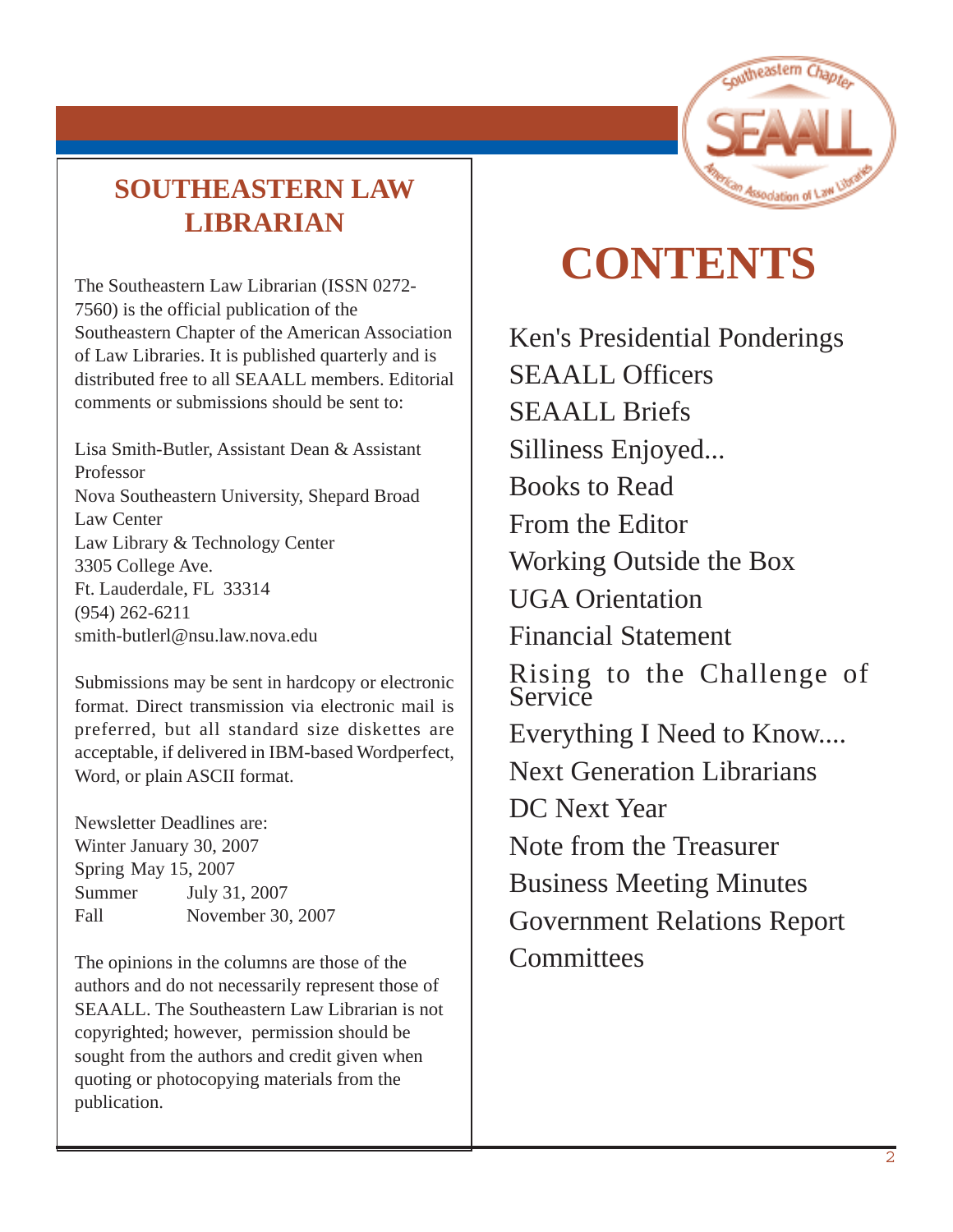# **SOUTHEASTERN LAW LIBRARIAN**

The Southeastern Law Librarian (ISSN 0272- 7560) is the official publication of the Southeastern Chapter of the American Association of Law Libraries. It is published quarterly and is distributed free to all SEAALL members. Editorial comments or submissions should be sent to:

Lisa Smith-Butler, Assistant Dean & Assistant Professor Nova Southeastern University, Shepard Broad Law Center Law Library & Technology Center 3305 College Ave. Ft. Lauderdale, FL 33314 [\(954\) 262-6211](mailto:melamut@email.unc.edu) [smith-butlerl@nsu.law.nova.edu](mailto:melamut@email.unc.edu)

Submissions may be sent in hardcopy or electronic format. Direct transmission via electronic mail is preferred, but all standard size diskettes are acceptable, if delivered in IBM-based Wordperfect, Word, or plain ASCII format.

Newsletter Deadlines are: Winter January 30, 2007 Spring May 15, 2007 Summer July 31, 2007 Fall November 30, 2007

The opinions in the columns are those of the authors and do not necessarily represent those of SEAALL. The Southeastern Law Librarian is not copyrighted; however, permission should be sought from the authors and credit given when quoting or photocopying materials from the publication.



# **CONTENTS**

[Ken's Presidential Ponderings](#page-0-0) SEAALL Officers SEAALL Briefs Silliness Enjoyed... Books to Read From the Editor Working Outside the Box UGA Orientation Financial Statement Rising to the Challenge of **Service** Everything I Need to Know.... Next Generation Librarians DC Next Year Note from the Treasurer Business Meeting Minutes Government Relations Report **Committees**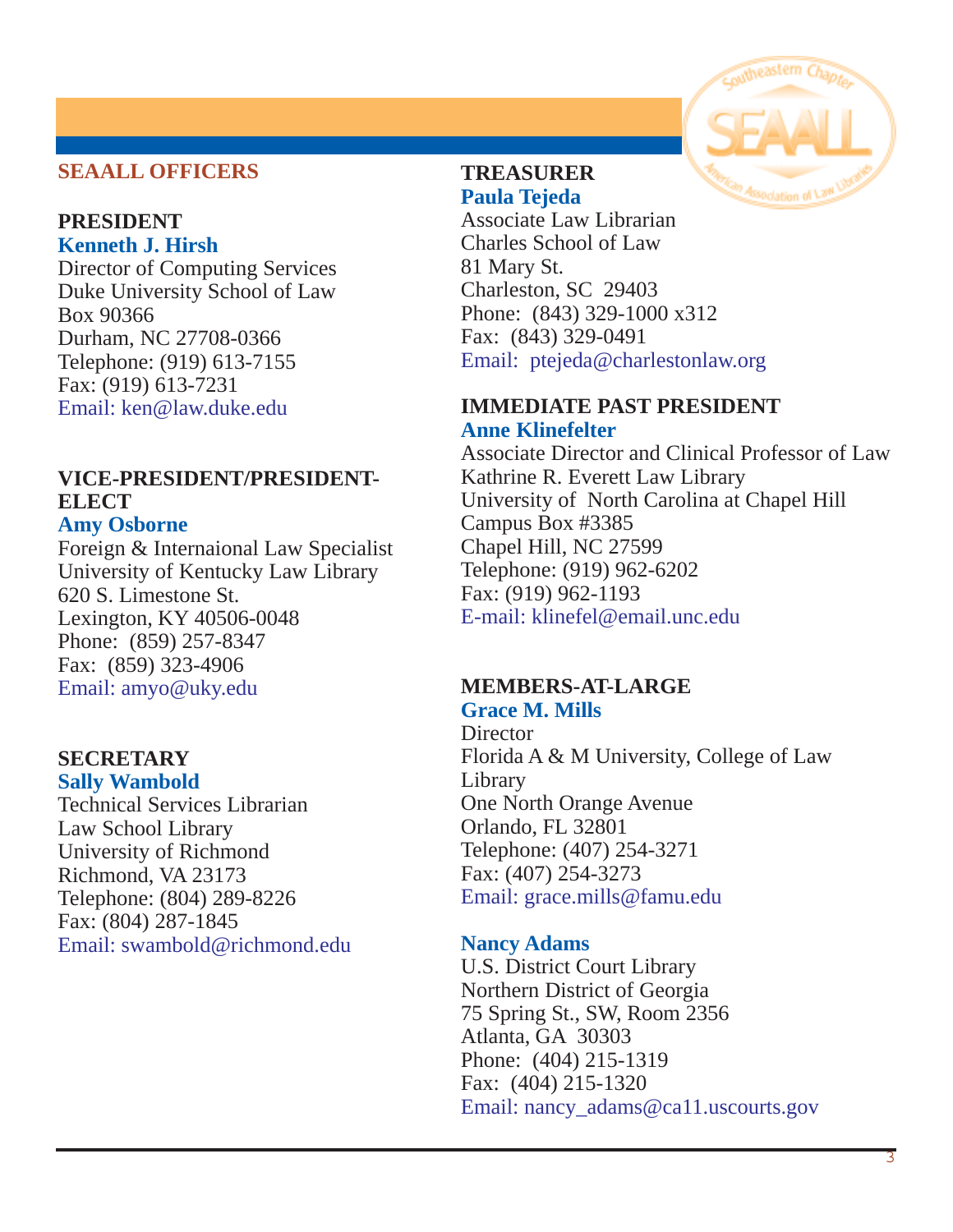#### **SEAALL OFFICERS**

#### **PRESIDENT Kenneth J. Hirsh**

Director of Computing Services Duke University School of Law Box 90366 Durham, NC 27708-0366 Telephone: (919) 613-7155 Fax: (919) 613-7231 Email: [ken@law.duke.edu](mailto:ken@law.duke.edu)

# **VICE-PRESIDENT/PRESIDENT-ELECT**

#### **Amy Osborne**

Foreign & Internaional Law Specialist University of Kentucky Law Library 620 S. Limestone St. Lexington, KY 40506-0048 Phone: (859) 257-8347 Fax: (859) 323-4906 [Email: amyo@uky.edu](mailto:swambold@richmond.edu)

#### **SECRETARY Sally Wambold**

Technical Services Librarian Law School Library University of Richmond Richmond, VA 23173 Telephone: (804) 289-8226 Fax: (804) 287-1845 [Email: swambold@richmond.edu](mailto:swambold@richmond.edu)

#### **TREASURER Paula Tejeda**

Associate Law Librarian Charles School of Law 81 Mary St. Charleston, SC 29403 Phone: (843) 329-1000 x312 Fax: (843) 329-0491 [Email: ptejeda@charlestonlaw.org](mailto:bissettj@wlu.edu)

#### **IMMEDIATE PAST PRESIDENT Anne Klinefelter**

Associate Director and Clinical Professor of Law Kathrine R. Everett Law Library University of North Carolina at Chapel Hill Campus Box #3385 Chapel Hill, NC 27599 Telephone: (919) 962-6202 Fax: (919) 962-1193 [E-mail: klinefel@email.unc.edu](mailto:klinefel@email.unc.edu)

#### **MEMBERS-AT-LARGE**

**Grace M. Mills**

**Director** Florida A & M University, College of Law Library One North Orange Avenue Orlando, FL 32801 Telephone: (407) 254-3271 Fax: (407) 254-3273 Email: [grace.mills@famu.edu](mailto:grace.mills@famu.edu)

#### **Nancy Adams**

U.S. District Court Library Northern District of Georgia 75 Spring St., SW, Room 2356 Atlanta, GA 30303 Phone: (404) 215-1319 Fax: (404) 215-1320 [Email: nancy\\_adams@ca11.uscourts.gov](mailto:vsmith@wcsr.com)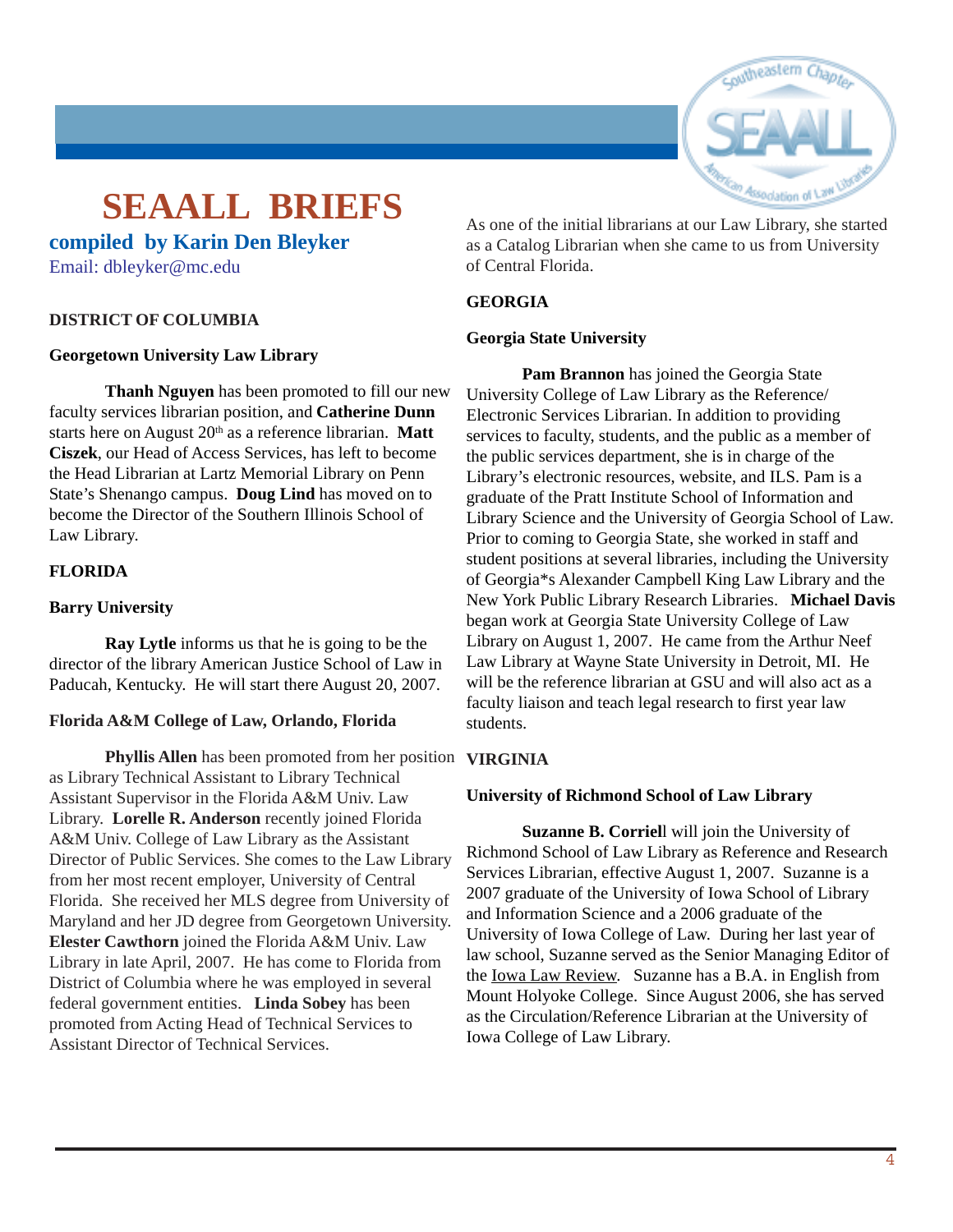# outheastern

# **SEAALL BRIEFS**

**compiled by Karin Den Bleyker**

[Email: dbleyker@mc.edu](mailto:dbleyker@mc.edu)

#### **DISTRICT OF COLUMBIA**

#### **Georgetown University Law Library**

**Thanh Nguyen** has been promoted to fill our new faculty services librarian position, and **Catherine Dunn** starts here on August 20<sup>th</sup> as a reference librarian. **Matt Ciszek**, our Head of Access Services, has left to become the Head Librarian at Lartz Memorial Library on Penn State's Shenango campus. **Doug Lind** has moved on to become the Director of the Southern Illinois School of Law Library.

#### **FLORIDA**

#### **Barry University**

**Ray Lytle** informs us that he is going to be the director of the library American Justice School of Law in Paducah, Kentucky. He will start there August 20, 2007.

#### **Florida A&M College of Law, Orlando, Florida**

**Phyllis Allen** has been promoted from her position **VIRGINIA** as Library Technical Assistant to Library Technical Assistant Supervisor in the Florida A&M Univ. Law Library. **Lorelle R. Anderson** recently joined Florida A&M Univ. College of Law Library as the Assistant Director of Public Services. She comes to the Law Library from her most recent employer, University of Central Florida. She received her MLS degree from University of Maryland and her JD degree from Georgetown University. **Elester Cawthorn** joined the Florida A&M Univ. Law Library in late April, 2007. He has come to Florida from District of Columbia where he was employed in several federal government entities. **Linda Sobey** has been promoted from Acting Head of Technical Services to Assistant Director of Technical Services.

As one of the initial librarians at our Law Library, she started as a Catalog Librarian when she came to us from University of Central Florida.

#### **GEORGIA**

#### **Georgia State University**

**Pam Brannon** has joined the Georgia State University College of Law Library as the Reference/ Electronic Services Librarian. In addition to providing services to faculty, students, and the public as a member of the public services department, she is in charge of the Library's electronic resources, website, and ILS. Pam is a graduate of the Pratt Institute School of Information and Library Science and the University of Georgia School of Law. Prior to coming to Georgia State, she worked in staff and student positions at several libraries, including the University of Georgia\*s Alexander Campbell King Law Library and the New York Public Library Research Libraries. **Michael Davis** began work at Georgia State University College of Law Library on August 1, 2007. He came from the Arthur Neef Law Library at Wayne State University in Detroit, MI. He will be the reference librarian at GSU and will also act as a faculty liaison and teach legal research to first year law students.

#### **University of Richmond School of Law Library**

**Suzanne B. Corriel**l will join the University of Richmond School of Law Library as Reference and Research Services Librarian, effective August 1, 2007. Suzanne is a 2007 graduate of the University of Iowa School of Library and Information Science and a 2006 graduate of the University of Iowa College of Law. During her last year of law school, Suzanne served as the Senior Managing Editor of the Iowa Law Review. Suzanne has a B.A. in English from Mount Holyoke College. Since August 2006, she has served as the Circulation/Reference Librarian at the University of Iowa College of Law Library.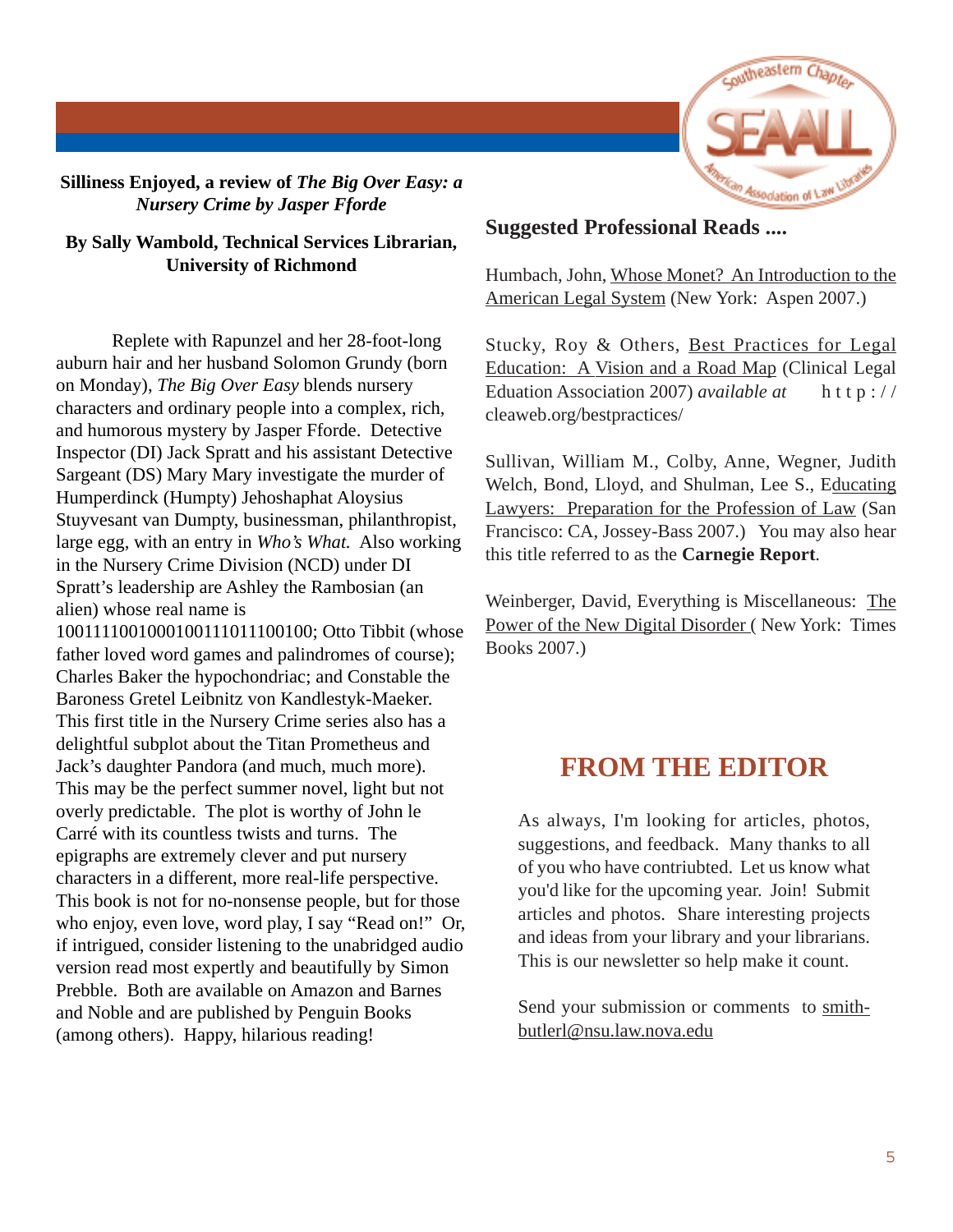

**Silliness Enjoyed, a review of** *The Big Over Easy: a Nursery Crime by Jasper Fforde*

#### **By Sally Wambold, Technical Services Librarian, University of Richmond**

Replete with Rapunzel and her 28-foot-long auburn hair and her husband Solomon Grundy (born on Monday), *The Big Over Easy* blends nursery characters and ordinary people into a complex, rich, and humorous mystery by Jasper Fforde. Detective Inspector (DI) Jack Spratt and his assistant Detective Sargeant (DS) Mary Mary investigate the murder of Humperdinck (Humpty) Jehoshaphat Aloysius Stuyvesant van Dumpty, businessman, philanthropist, large egg, with an entry in *Who's What.* Also working in the Nursery Crime Division (NCD) under DI Spratt's leadership are Ashley the Rambosian (an alien) whose real name is

1001111001000100111011100100; Otto Tibbit (whose father loved word games and palindromes of course); Charles Baker the hypochondriac; and Constable the Baroness Gretel Leibnitz von Kandlestyk-Maeker. This first title in the Nursery Crime series also has a delightful subplot about the Titan Prometheus and Jack's daughter Pandora (and much, much more). This may be the perfect summer novel, light but not overly predictable. The plot is worthy of John le Carré with its countless twists and turns. The epigraphs are extremely clever and put nursery characters in a different, more real-life perspective. This book is not for no-nonsense people, but for those who enjoy, even love, word play, I say "Read on!" Or, if intrigued, consider listening to the unabridged audio version read most expertly and beautifully by Simon Prebble. Both are available on Amazon and Barnes and Noble and are published by Penguin Books (among others). Happy, hilarious reading!

#### **Suggested Professional Reads ....**

Humbach, John, Whose Monet? An Introduction to the American Legal System (New York: Aspen 2007.)

Stucky, Roy & Others, Best Practices for Legal Education: A Vision and a Road Map (Clinical Legal Eduation Association 2007) *available at* http:// cleaweb.org/bestpractices/

Sullivan, William M., Colby, Anne, Wegner, Judith Welch, Bond, Lloyd, and Shulman, Lee S., Educating Lawyers: Preparation for the Profession of Law (San Francisco: CA, Jossey-Bass 2007.) You may also hear this title referred to as the **Carnegie Report**.

Weinberger, David, Everything is Miscellaneous: The Power of the New Digital Disorder (New York: Times Books 2007.)

## **FROM THE EDITOR**

As always, I'm looking for articles, photos, suggestions, and feedback. Many thanks to all of you who have contriubted. Let us know what you'd like for the upcoming year. Join! Submit articles and photos. Share interesting projects and ideas from your library and your librarians. This is our newsletter so help make it count.

Send your submission or comments to [smith](mailto:melamut@email.unc.edu)[butlerl@nsu.law.nova.edu](mailto:melamut@email.unc.edu)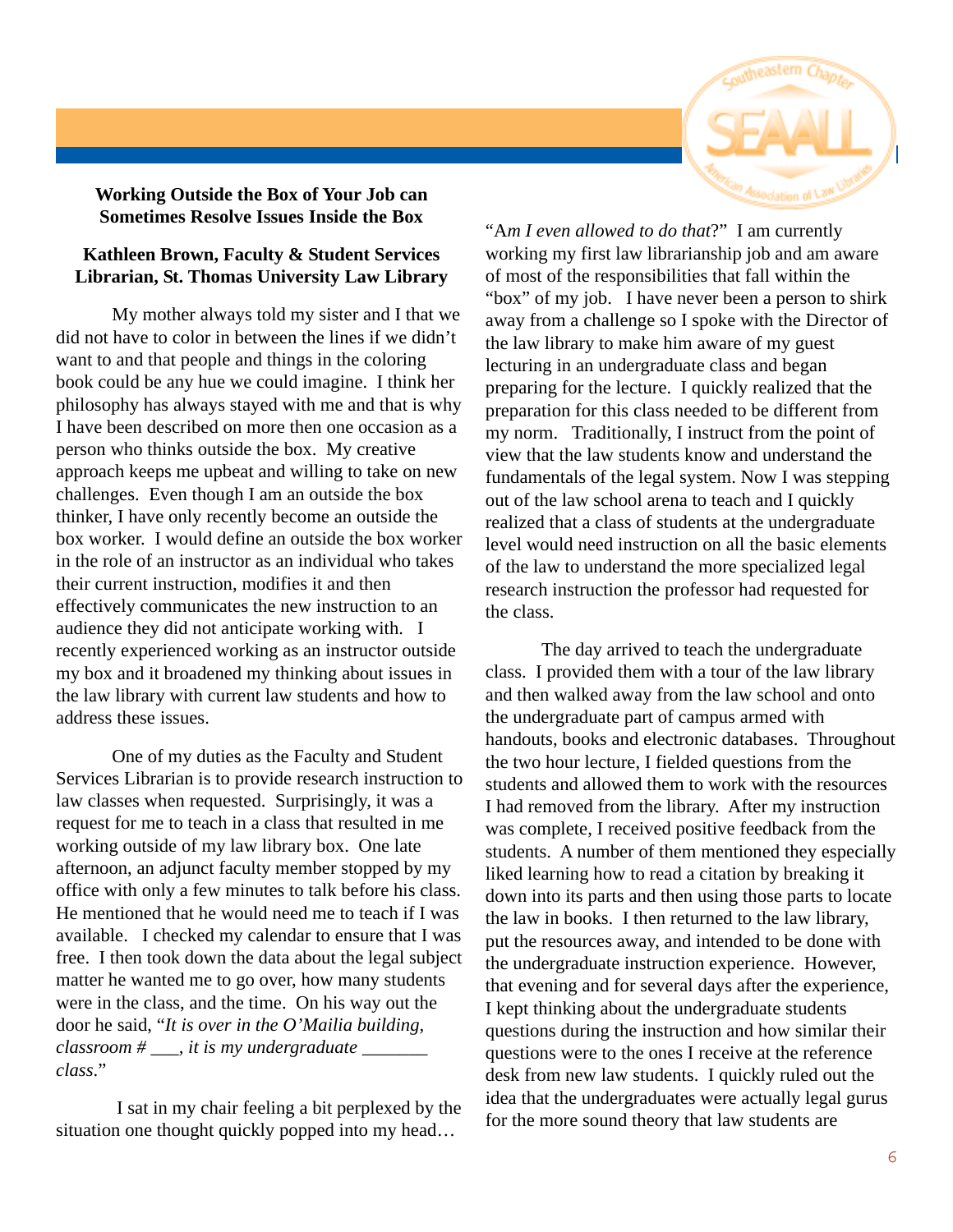

#### **Working Outside the Box of Your Job can Sometimes Resolve Issues Inside the Box**

#### **Kathleen Brown, Faculty & Student Services Librarian, St. Thomas University Law Library**

My mother always told my sister and I that we did not have to color in between the lines if we didn't want to and that people and things in the coloring book could be any hue we could imagine. I think her philosophy has always stayed with me and that is why I have been described on more then one occasion as a person who thinks outside the box. My creative approach keeps me upbeat and willing to take on new challenges. Even though I am an outside the box thinker, I have only recently become an outside the box worker. I would define an outside the box worker in the role of an instructor as an individual who takes their current instruction, modifies it and then effectively communicates the new instruction to an audience they did not anticipate working with. I recently experienced working as an instructor outside my box and it broadened my thinking about issues in the law library with current law students and how to address these issues.

One of my duties as the Faculty and Student Services Librarian is to provide research instruction to law classes when requested. Surprisingly, it was a request for me to teach in a class that resulted in me working outside of my law library box. One late afternoon, an adjunct faculty member stopped by my office with only a few minutes to talk before his class. He mentioned that he would need me to teach if I was available. I checked my calendar to ensure that I was free. I then took down the data about the legal subject matter he wanted me to go over, how many students were in the class, and the time. On his way out the door he said, "*It is over in the O'Mailia building, classroom # \_\_\_, it is my undergraduate \_\_\_\_\_\_\_ class*."

 I sat in my chair feeling a bit perplexed by the situation one thought quickly popped into my head...

"A*m I even allowed to do that*?" I am currently working my first law librarianship job and am aware of most of the responsibilities that fall within the "box" of my job. I have never been a person to shirk away from a challenge so I spoke with the Director of the law library to make him aware of my guest lecturing in an undergraduate class and began preparing for the lecture. I quickly realized that the preparation for this class needed to be different from my norm. Traditionally, I instruct from the point of view that the law students know and understand the fundamentals of the legal system. Now I was stepping out of the law school arena to teach and I quickly realized that a class of students at the undergraduate level would need instruction on all the basic elements of the law to understand the more specialized legal research instruction the professor had requested for the class.

The day arrived to teach the undergraduate class. I provided them with a tour of the law library and then walked away from the law school and onto the undergraduate part of campus armed with handouts, books and electronic databases. Throughout the two hour lecture, I fielded questions from the students and allowed them to work with the resources I had removed from the library. After my instruction was complete, I received positive feedback from the students. A number of them mentioned they especially liked learning how to read a citation by breaking it down into its parts and then using those parts to locate the law in books. I then returned to the law library, put the resources away, and intended to be done with the undergraduate instruction experience. However, that evening and for several days after the experience, I kept thinking about the undergraduate students questions during the instruction and how similar their questions were to the ones I receive at the reference desk from new law students. I quickly ruled out the idea that the undergraduates were actually legal gurus for the more sound theory that law students are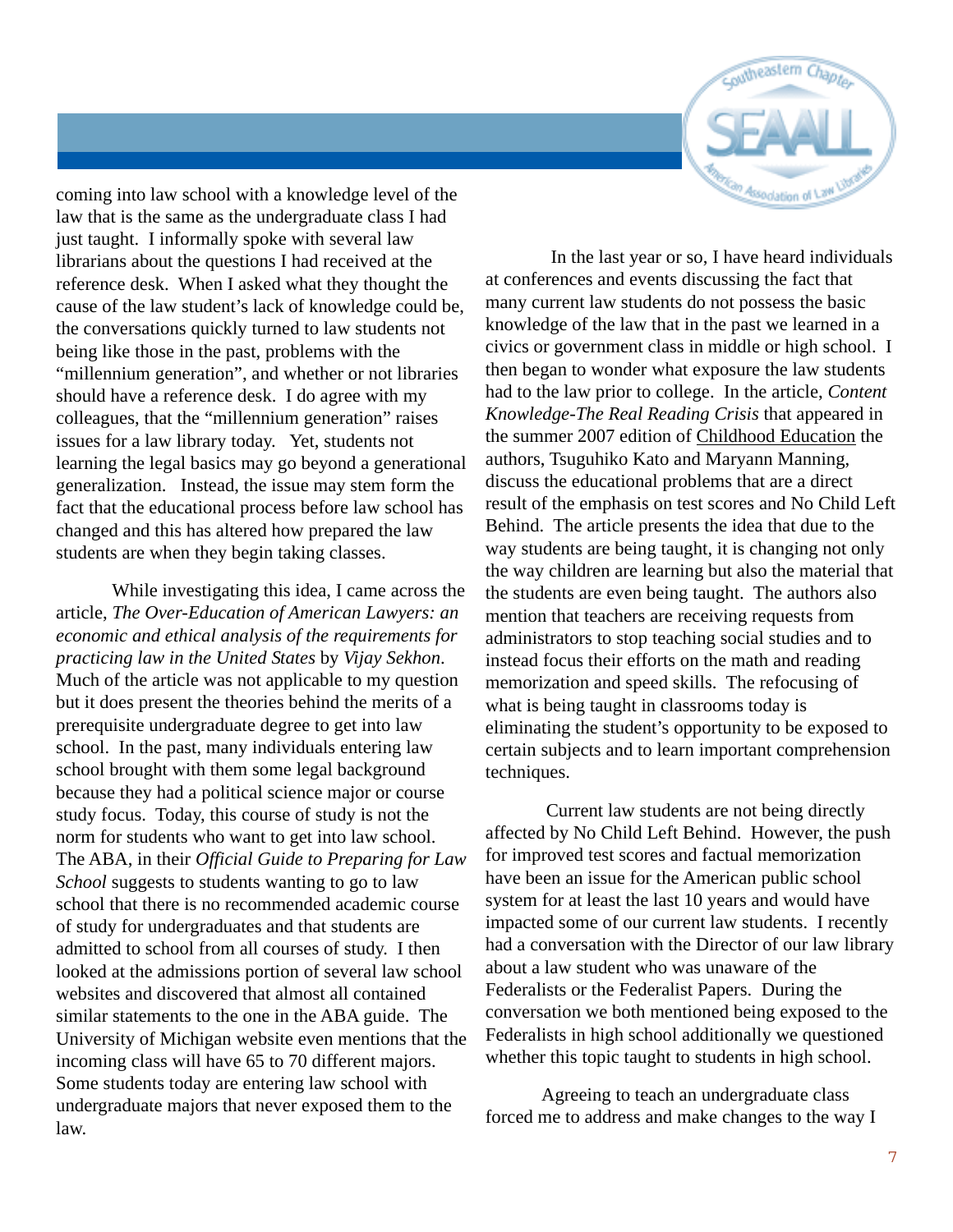

coming into law school with a knowledge level of the law that is the same as the undergraduate class I had just taught. I informally spoke with several law librarians about the questions I had received at the reference desk. When I asked what they thought the cause of the law student's lack of knowledge could be, the conversations quickly turned to law students not being like those in the past, problems with the "millennium generation", and whether or not libraries should have a reference desk. I do agree with my colleagues, that the "millennium generation" raises issues for a law library today. Yet, students not learning the legal basics may go beyond a generational generalization. Instead, the issue may stem form the fact that the educational process before law school has changed and this has altered how prepared the law students are when they begin taking classes.

While investigating this idea, I came across the article, *The Over-Education of American Lawyers: an economic and ethical analysis of the requirements for practicing law in the United States* by *Vijay Sekhon*. Much of the article was not applicable to my question but it does present the theories behind the merits of a prerequisite undergraduate degree to get into law school. In the past, many individuals entering law school brought with them some legal background because they had a political science major or course study focus. Today, this course of study is not the norm for students who want to get into law school. The ABA, in their *Official Guide to Preparing for Law School* suggests to students wanting to go to law school that there is no recommended academic course of study for undergraduates and that students are admitted to school from all courses of study. I then looked at the admissions portion of several law school websites and discovered that almost all contained similar statements to the one in the ABA guide. The University of Michigan website even mentions that the incoming class will have 65 to 70 different majors. Some students today are entering law school with undergraduate majors that never exposed them to the law.

 In the last year or so, I have heard individuals at conferences and events discussing the fact that many current law students do not possess the basic knowledge of the law that in the past we learned in a civics or government class in middle or high school. I then began to wonder what exposure the law students had to the law prior to college. In the article, *Content Knowledge-The Real Reading Crisis* that appeared in the summer 2007 edition of Childhood Education the authors, Tsuguhiko Kato and Maryann Manning, discuss the educational problems that are a direct result of the emphasis on test scores and No Child Left Behind. The article presents the idea that due to the way students are being taught, it is changing not only the way children are learning but also the material that the students are even being taught. The authors also mention that teachers are receiving requests from administrators to stop teaching social studies and to instead focus their efforts on the math and reading memorization and speed skills. The refocusing of what is being taught in classrooms today is eliminating the student's opportunity to be exposed to certain subjects and to learn important comprehension techniques.

 Current law students are not being directly affected by No Child Left Behind. However, the push for improved test scores and factual memorization have been an issue for the American public school system for at least the last 10 years and would have impacted some of our current law students. I recently had a conversation with the Director of our law library about a law student who was unaware of the Federalists or the Federalist Papers. During the conversation we both mentioned being exposed to the Federalists in high school additionally we questioned whether this topic taught to students in high school.

Agreeing to teach an undergraduate class forced me to address and make changes to the way I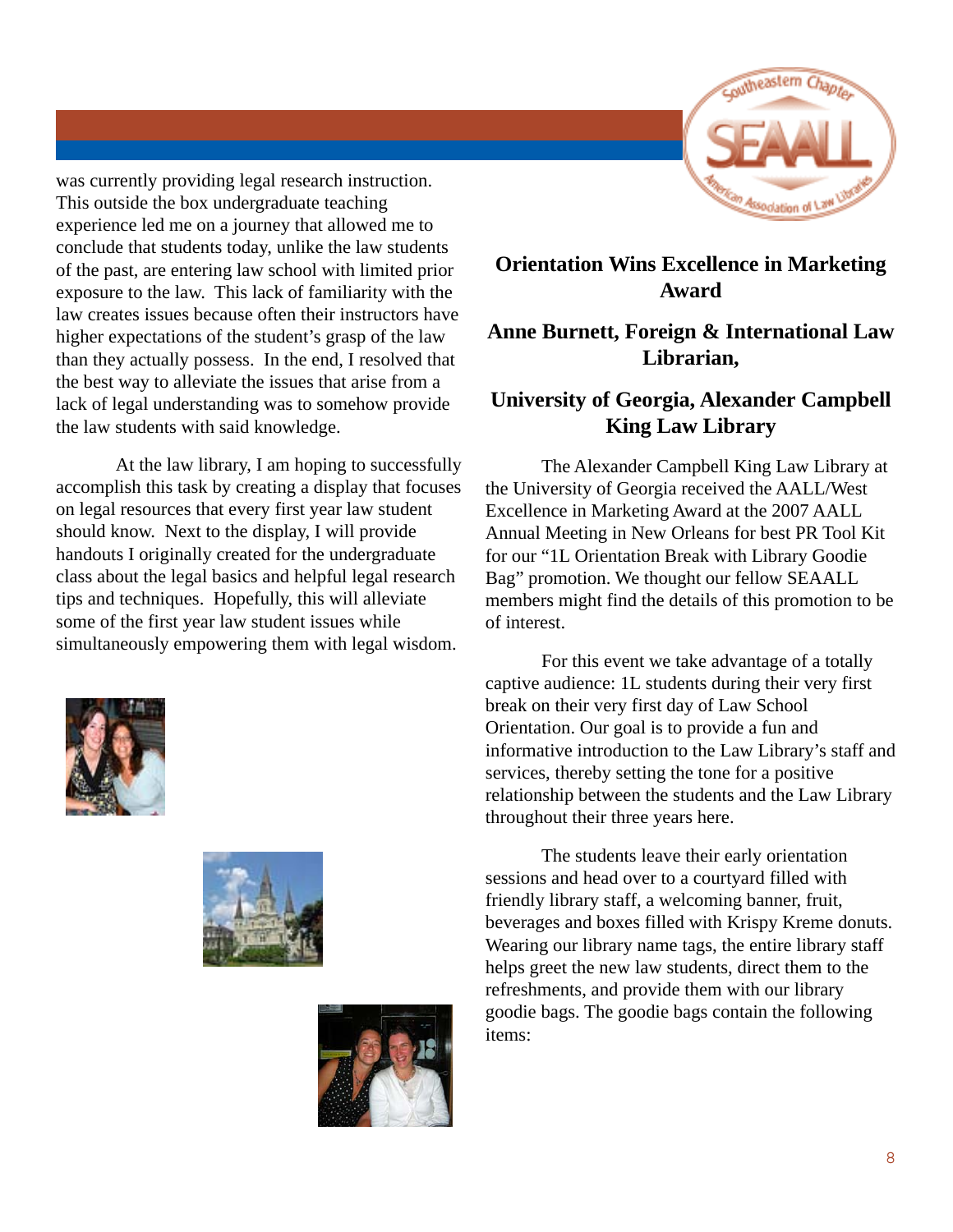

was currently providing legal research instruction. This outside the box undergraduate teaching experience led me on a journey that allowed me to conclude that students today, unlike the law students of the past, are entering law school with limited prior exposure to the law. This lack of familiarity with the law creates issues because often their instructors have higher expectations of the student's grasp of the law than they actually possess. In the end, I resolved that the best way to alleviate the issues that arise from a lack of legal understanding was to somehow provide the law students with said knowledge.

 At the law library, I am hoping to successfully accomplish this task by creating a display that focuses on legal resources that every first year law student should know. Next to the display, I will provide handouts I originally created for the undergraduate class about the legal basics and helpful legal research tips and techniques. Hopefully, this will alleviate some of the first year law student issues while simultaneously empowering them with legal wisdom.







#### **Orientation Wins Excellence in Marketing Award**

#### **Anne Burnett, Foreign & International Law Librarian,**

#### **University of Georgia, Alexander Campbell King Law Library**

The Alexander Campbell King Law Library at the University of Georgia received the AALL/West Excellence in Marketing Award at the 2007 AALL Annual Meeting in New Orleans for best PR Tool Kit for our "1L Orientation Break with Library Goodie Bag" promotion. We thought our fellow SEAALL members might find the details of this promotion to be of interest.

For this event we take advantage of a totally captive audience: 1L students during their very first break on their very first day of Law School Orientation. Our goal is to provide a fun and informative introduction to the Law Library's staff and services, thereby setting the tone for a positive relationship between the students and the Law Library throughout their three years here.

The students leave their early orientation sessions and head over to a courtyard filled with friendly library staff, a welcoming banner, fruit, beverages and boxes filled with Krispy Kreme donuts. Wearing our library name tags, the entire library staff helps greet the new law students, direct them to the refreshments, and provide them with our library goodie bags. The goodie bags contain the following items: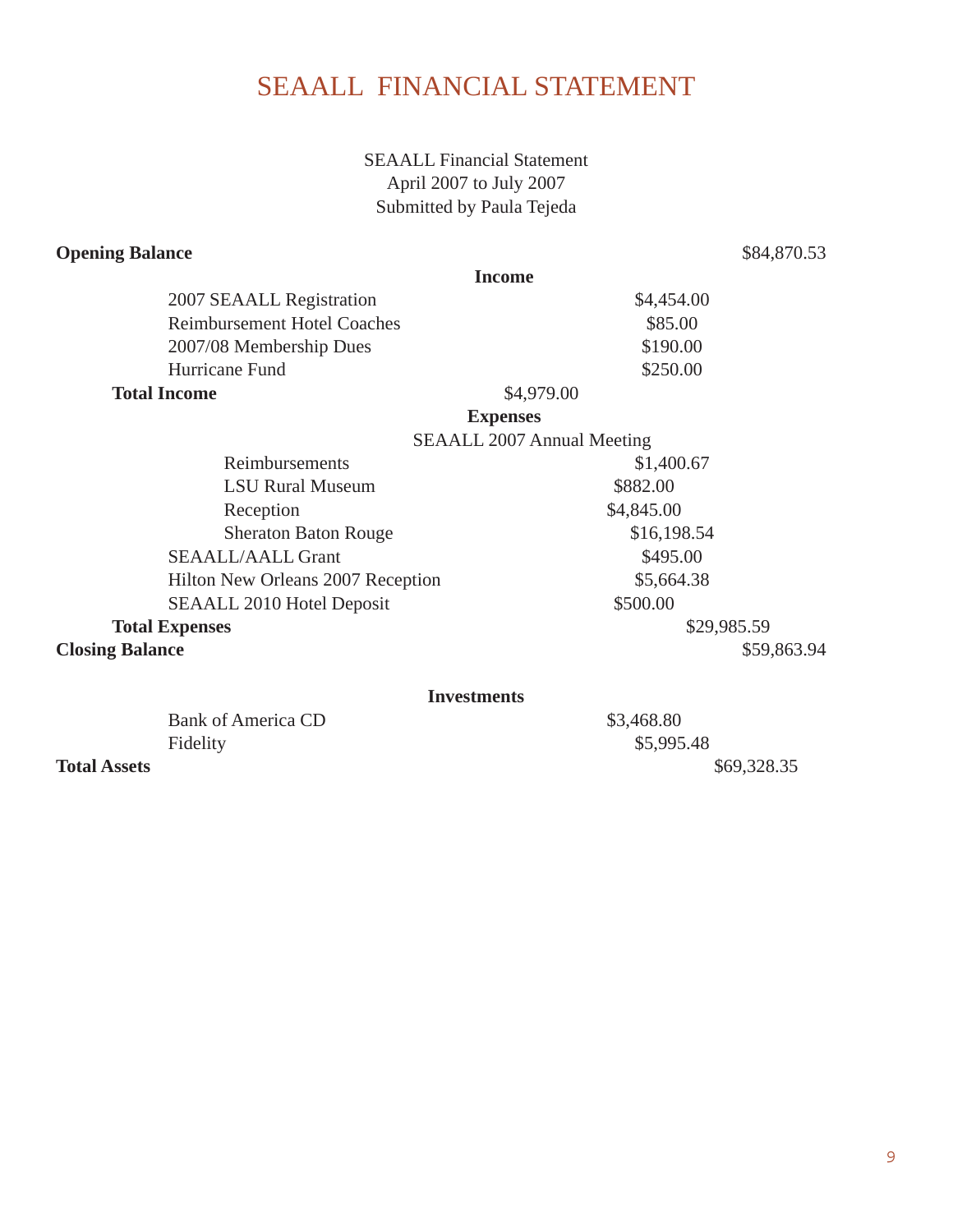# SEAALL FINANCIAL STATEMENT

SEAALL Financial Statement April 2007 to July 2007 Submitted by Paula Tejeda

#### **Opening Balance** \$84,870.53

|                                      | <b>Income</b>                     |
|--------------------------------------|-----------------------------------|
| 2007 SEAALL Registration             | \$4,454.00                        |
| <b>Reimbursement Hotel Coaches</b>   | \$85.00                           |
| 2007/08 Membership Dues              | \$190.00                          |
| Hurricane Fund                       | \$250.00                          |
| <b>Total Income</b>                  | \$4,979.00                        |
| <b>Expenses</b>                      |                                   |
|                                      | <b>SEAALL 2007 Annual Meeting</b> |
| Reimbursements                       | \$1,400.67                        |
| <b>LSU Rural Museum</b>              | \$882.00                          |
| Reception                            | \$4,845.00                        |
| <b>Sheraton Baton Rouge</b>          | \$16,198.54                       |
| <b>SEAALL/AALL Grant</b><br>\$495.00 |                                   |
| Hilton New Orleans 2007 Reception    | \$5,664.38                        |
| SEAALL 2010 Hotel Deposit            | \$500.00                          |
| <b>Total Expenses</b><br>\$29,985.59 |                                   |
| <b>Closing Balance</b>               | \$59,863.94                       |
| <b>Investments</b>                   |                                   |

|                     | Bank of America CD | \$3,468.80  |
|---------------------|--------------------|-------------|
|                     | Fidelity           | \$5,995.48  |
| <b>Total Assets</b> |                    | \$69,328.35 |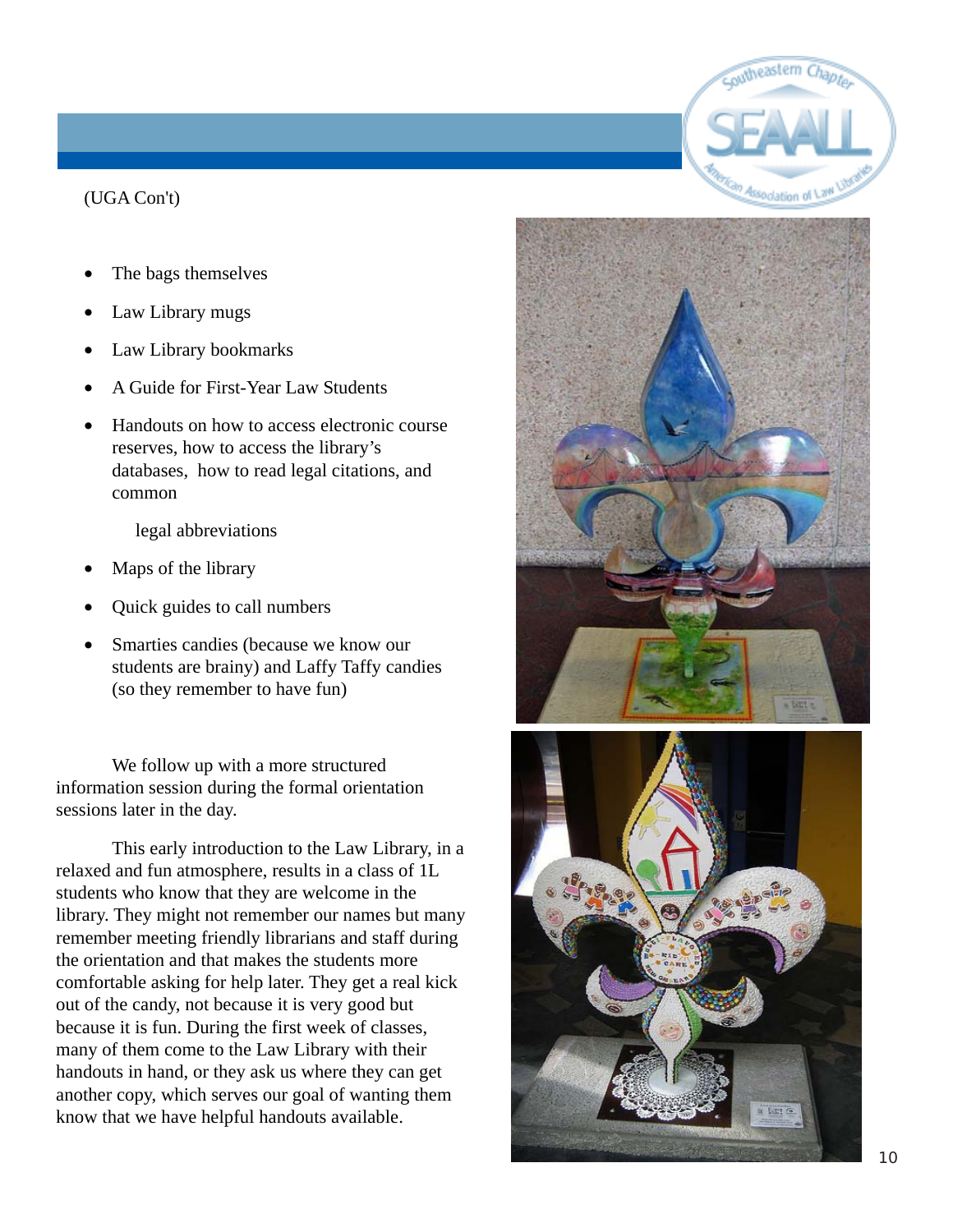# witheastern Association of \

#### (UGA Con't)

- The bags themselves
- Law Library mugs
- Law Library bookmarks
- A Guide for First-Year Law Students
- Handouts on how to access electronic course reserves, how to access the library's databases, how to read legal citations, and common

legal abbreviations

- Maps of the library
- Quick guides to call numbers
- Smarties candies (because we know our students are brainy) and Laffy Taffy candies (so they remember to have fun)

We follow up with a more structured information session during the formal orientation sessions later in the day.

This early introduction to the Law Library, in a relaxed and fun atmosphere, results in a class of 1L students who know that they are welcome in the library. They might not remember our names but many remember meeting friendly librarians and staff during the orientation and that makes the students more comfortable asking for help later. They get a real kick out of the candy, not because it is very good but because it is fun. During the first week of classes, many of them come to the Law Library with their handouts in hand, or they ask us where they can get another copy, which serves our goal of wanting them know that we have helpful handouts available.



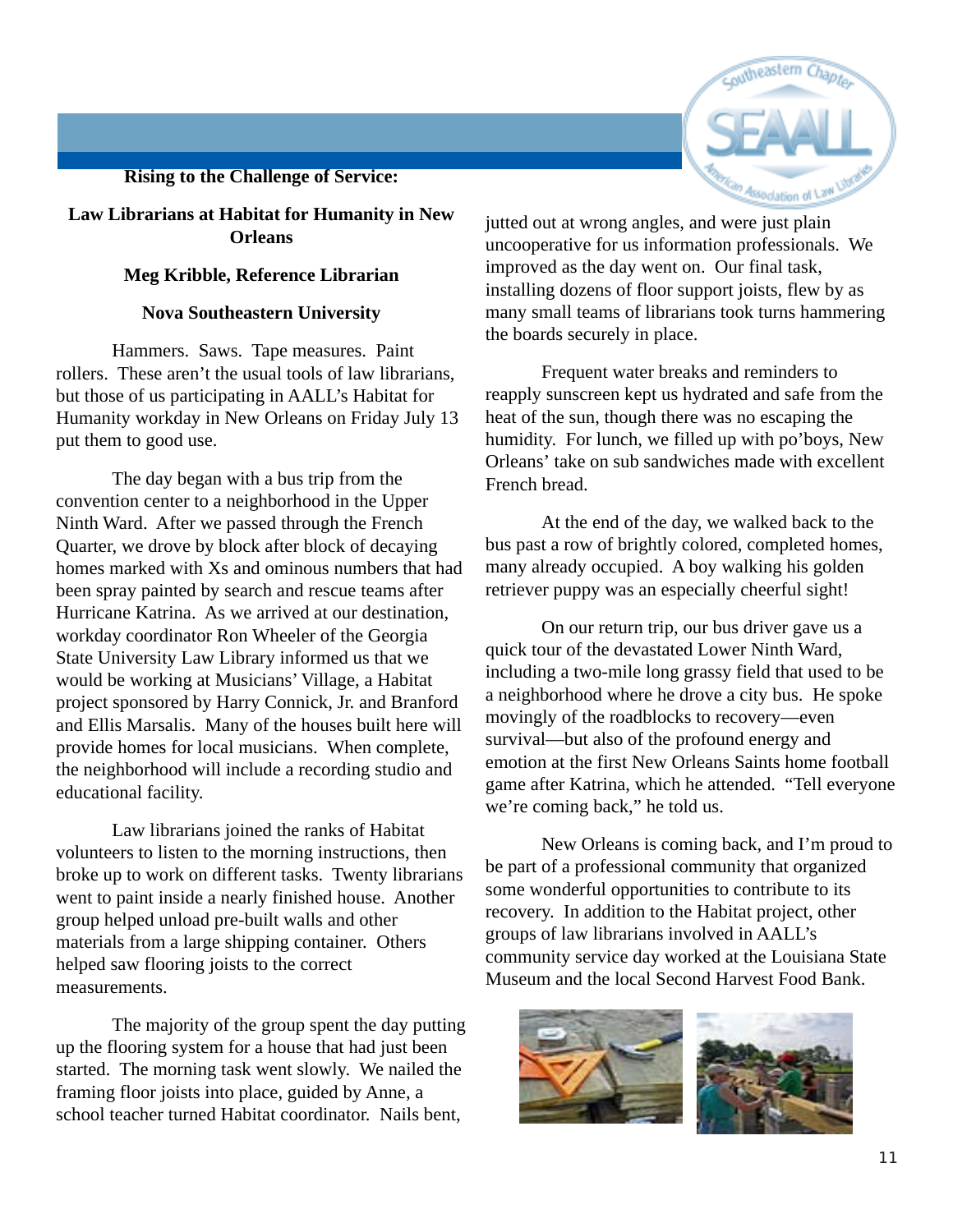#### **Rising to the Challenge of Service:**



#### **Law Librarians at Habitat for Humanity in New Orleans**

#### **Meg Kribble, Reference Librarian**

#### **Nova Southeastern University**

Hammers. Saws. Tape measures. Paint rollers. These aren't the usual tools of law librarians, but those of us participating in AALL's Habitat for Humanity workday in New Orleans on Friday July 13 put them to good use.

The day began with a bus trip from the convention center to a neighborhood in the Upper Ninth Ward. After we passed through the French Quarter, we drove by block after block of decaying homes marked with Xs and ominous numbers that had been spray painted by search and rescue teams after Hurricane Katrina. As we arrived at our destination, workday coordinator Ron Wheeler of the Georgia State University Law Library informed us that we would be working at Musicians' Village, a Habitat project sponsored by Harry Connick, Jr. and Branford and Ellis Marsalis. Many of the houses built here will provide homes for local musicians. When complete, the neighborhood will include a recording studio and educational facility.

Law librarians joined the ranks of Habitat volunteers to listen to the morning instructions, then broke up to work on different tasks. Twenty librarians went to paint inside a nearly finished house. Another group helped unload pre-built walls and other materials from a large shipping container. Others helped saw flooring joists to the correct measurements.

The majority of the group spent the day putting up the flooring system for a house that had just been started. The morning task went slowly. We nailed the framing floor joists into place, guided by Anne, a school teacher turned Habitat coordinator. Nails bent,

jutted out at wrong angles, and were just plain uncooperative for us information professionals. We improved as the day went on. Our final task, installing dozens of floor support joists, flew by as many small teams of librarians took turns hammering the boards securely in place.

Frequent water breaks and reminders to reapply sunscreen kept us hydrated and safe from the heat of the sun, though there was no escaping the humidity. For lunch, we filled up with po'boys, New Orleans' take on sub sandwiches made with excellent French bread.

At the end of the day, we walked back to the bus past a row of brightly colored, completed homes, many already occupied. A boy walking his golden retriever puppy was an especially cheerful sight!

On our return trip, our bus driver gave us a quick tour of the devastated Lower Ninth Ward, including a two-mile long grassy field that used to be a neighborhood where he drove a city bus. He spoke movingly of the roadblocks to recovery—even survival—but also of the profound energy and emotion at the first New Orleans Saints home football game after Katrina, which he attended. "Tell everyone we're coming back," he told us.

New Orleans is coming back, and I'm proud to be part of a professional community that organized some wonderful opportunities to contribute to its recovery. In addition to the Habitat project, other groups of law librarians involved in AALL's community service day worked at the Louisiana State Museum and the local Second Harvest Food Bank.

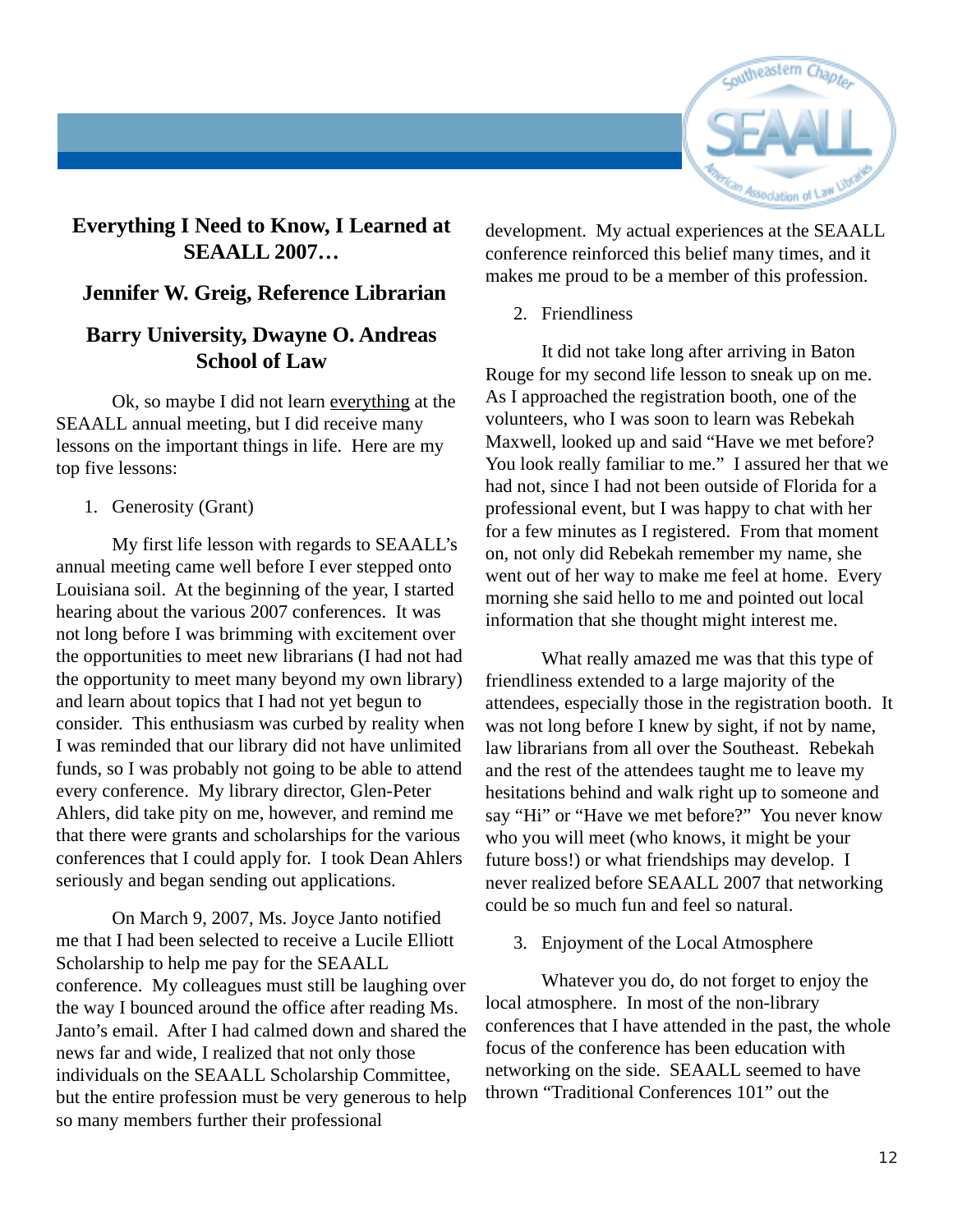

#### **Everything I Need to Know, I Learned at SEAALL 2007…**

#### **Jennifer W. Greig, Reference Librarian**

#### **Barry University, Dwayne O. Andreas School of Law**

Ok, so maybe I did not learn everything at the SEAALL annual meeting, but I did receive many lessons on the important things in life. Here are my top five lessons:

1. Generosity (Grant)

My first life lesson with regards to SEAALL's annual meeting came well before I ever stepped onto Louisiana soil. At the beginning of the year, I started hearing about the various 2007 conferences. It was not long before I was brimming with excitement over the opportunities to meet new librarians (I had not had the opportunity to meet many beyond my own library) and learn about topics that I had not yet begun to consider. This enthusiasm was curbed by reality when I was reminded that our library did not have unlimited funds, so I was probably not going to be able to attend every conference. My library director, Glen-Peter Ahlers, did take pity on me, however, and remind me that there were grants and scholarships for the various conferences that I could apply for. I took Dean Ahlers seriously and began sending out applications.

On March 9, 2007, Ms. Joyce Janto notified me that I had been selected to receive a Lucile Elliott Scholarship to help me pay for the SEAALL conference. My colleagues must still be laughing over the way I bounced around the office after reading Ms. Janto's email. After I had calmed down and shared the news far and wide, I realized that not only those individuals on the SEAALL Scholarship Committee, but the entire profession must be very generous to help so many members further their professional

development. My actual experiences at the SEAALL conference reinforced this belief many times, and it makes me proud to be a member of this profession.

2. Friendliness

It did not take long after arriving in Baton Rouge for my second life lesson to sneak up on me. As I approached the registration booth, one of the volunteers, who I was soon to learn was Rebekah Maxwell, looked up and said "Have we met before? You look really familiar to me." I assured her that we had not, since I had not been outside of Florida for a professional event, but I was happy to chat with her for a few minutes as I registered. From that moment on, not only did Rebekah remember my name, she went out of her way to make me feel at home. Every morning she said hello to me and pointed out local information that she thought might interest me.

What really amazed me was that this type of friendliness extended to a large majority of the attendees, especially those in the registration booth. It was not long before I knew by sight, if not by name, law librarians from all over the Southeast. Rebekah and the rest of the attendees taught me to leave my hesitations behind and walk right up to someone and say "Hi" or "Have we met before?" You never know who you will meet (who knows, it might be your future boss!) or what friendships may develop. I never realized before SEAALL 2007 that networking could be so much fun and feel so natural.

3. Enjoyment of the Local Atmosphere

Whatever you do, do not forget to enjoy the local atmosphere. In most of the non-library conferences that I have attended in the past, the whole focus of the conference has been education with networking on the side. SEAALL seemed to have thrown "Traditional Conferences 101" out the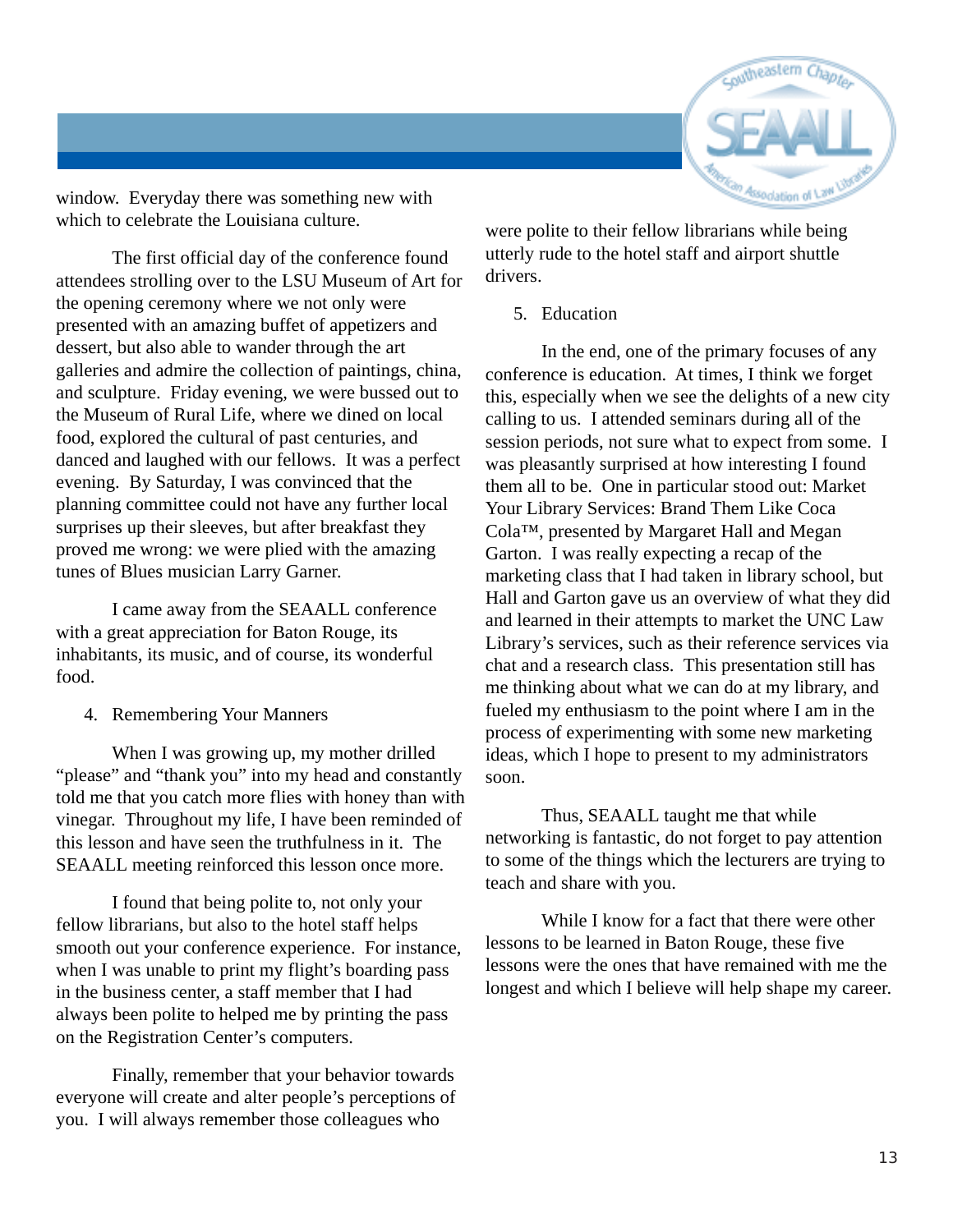

window. Everyday there was something new with which to celebrate the Louisiana culture.

The first official day of the conference found attendees strolling over to the LSU Museum of Art for the opening ceremony where we not only were presented with an amazing buffet of appetizers and dessert, but also able to wander through the art galleries and admire the collection of paintings, china, and sculpture. Friday evening, we were bussed out to the Museum of Rural Life, where we dined on local food, explored the cultural of past centuries, and danced and laughed with our fellows. It was a perfect evening. By Saturday, I was convinced that the planning committee could not have any further local surprises up their sleeves, but after breakfast they proved me wrong: we were plied with the amazing tunes of Blues musician Larry Garner.

I came away from the SEAALL conference with a great appreciation for Baton Rouge, its inhabitants, its music, and of course, its wonderful food.

4. Remembering Your Manners

When I was growing up, my mother drilled "please" and "thank you" into my head and constantly told me that you catch more flies with honey than with vinegar. Throughout my life, I have been reminded of this lesson and have seen the truthfulness in it. The SEAALL meeting reinforced this lesson once more.

I found that being polite to, not only your fellow librarians, but also to the hotel staff helps smooth out your conference experience. For instance, when I was unable to print my flight's boarding pass in the business center, a staff member that I had always been polite to helped me by printing the pass on the Registration Center's computers.

Finally, remember that your behavior towards everyone will create and alter people's perceptions of you. I will always remember those colleagues who

were polite to their fellow librarians while being utterly rude to the hotel staff and airport shuttle drivers.

5. Education

In the end, one of the primary focuses of any conference is education. At times, I think we forget this, especially when we see the delights of a new city calling to us. I attended seminars during all of the session periods, not sure what to expect from some. I was pleasantly surprised at how interesting I found them all to be. One in particular stood out: Market Your Library Services: Brand Them Like Coca Cola™, presented by Margaret Hall and Megan Garton. I was really expecting a recap of the marketing class that I had taken in library school, but Hall and Garton gave us an overview of what they did and learned in their attempts to market the UNC Law Library's services, such as their reference services via chat and a research class. This presentation still has me thinking about what we can do at my library, and fueled my enthusiasm to the point where I am in the process of experimenting with some new marketing ideas, which I hope to present to my administrators soon.

Thus, SEAALL taught me that while networking is fantastic, do not forget to pay attention to some of the things which the lecturers are trying to teach and share with you.

While I know for a fact that there were other lessons to be learned in Baton Rouge, these five lessons were the ones that have remained with me the longest and which I believe will help shape my career.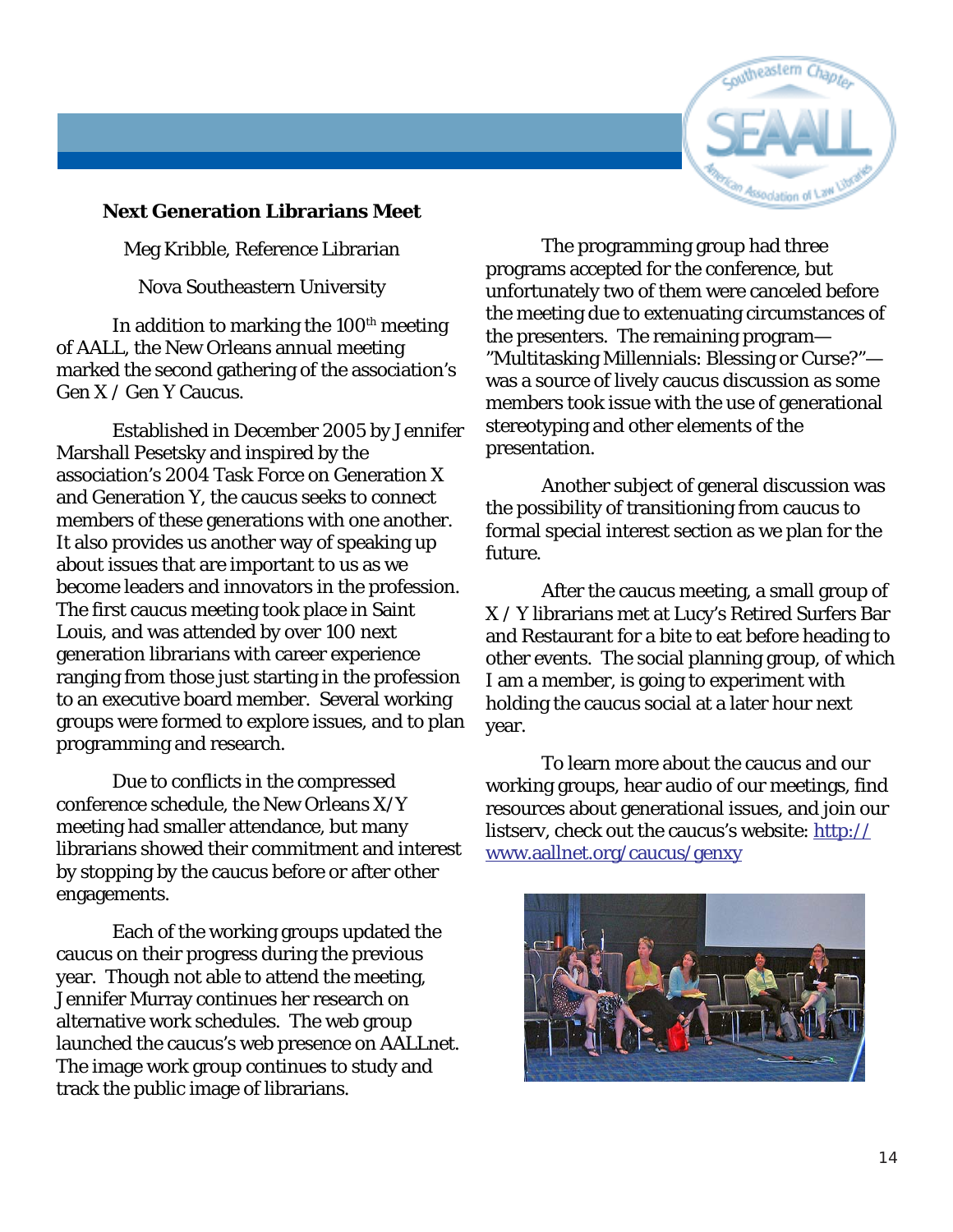

#### **Next Generation Librarians Meet**

Meg Kribble, Reference Librarian

Nova Southeastern University

In addition to marking the  $100<sup>th</sup>$  meeting of AALL, the New Orleans annual meeting marked the second gathering of the association's Gen X / Gen Y Caucus.

Established in December 2005 by Jennifer Marshall Pesetsky and inspired by the association's 2004 Task Force on Generation X and Generation Y, the caucus seeks to connect members of these generations with one another. It also provides us another way of speaking up about issues that are important to us as we become leaders and innovators in the profession. The first caucus meeting took place in Saint Louis, and was attended by over 100 next generation librarians with career experience ranging from those just starting in the profession to an executive board member. Several working groups were formed to explore issues, and to plan programming and research.

Due to conflicts in the compressed conference schedule, the New Orleans X/Y meeting had smaller attendance, but many librarians showed their commitment and interest by stopping by the caucus before or after other engagements.

Each of the working groups updated the caucus on their progress during the previous year. Though not able to attend the meeting, Jennifer Murray continues her research on alternative work schedules. The web group launched the caucus's web presence on AALLnet. The image work group continues to study and track the public image of librarians.

The programming group had three programs accepted for the conference, but unfortunately two of them were canceled before the meeting due to extenuating circumstances of the presenters. The remaining program— "Multitasking Millennials: Blessing or Curse?" was a source of lively caucus discussion as some members took issue with the use of generational stereotyping and other elements of the presentation.

Another subject of general discussion was the possibility of transitioning from caucus to formal special interest section as we plan for the future.

After the caucus meeting, a small group of X / Y librarians met at Lucy's Retired Surfers Bar and Restaurant for a bite to eat before heading to other events. The social planning group, of which I am a member, is going to experiment with holding the caucus social at a later hour next year.

To learn more about the caucus and our working groups, hear audio of our meetings, find resources about generational issues, and join our listserv, check out the caucus's website: http:// www.aallnet.org/caucus/genxy

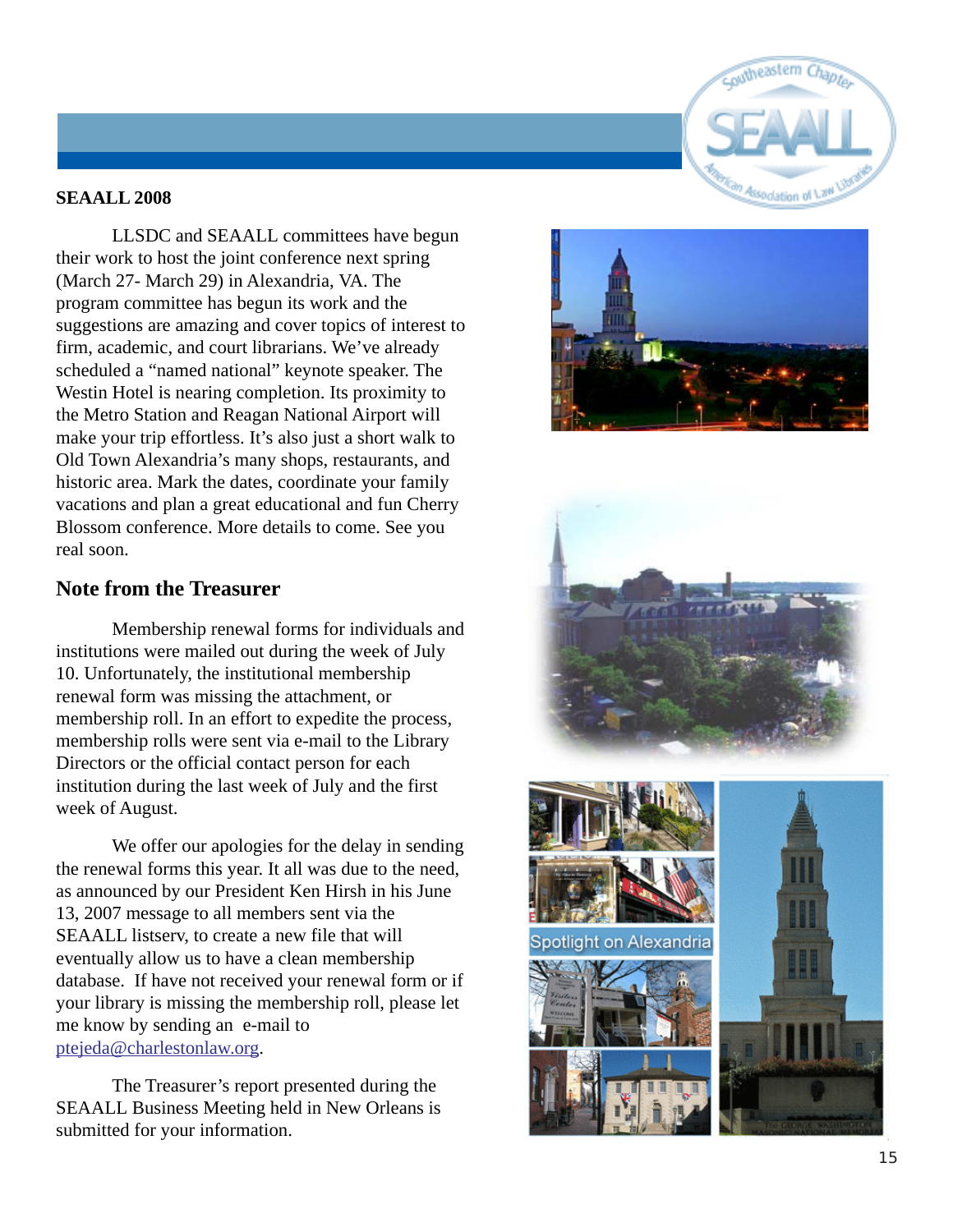

#### **SEAALL 2008**

LLSDC and SEAALL committees have begun their work to host the joint conference next spring (March 27- March 29) in Alexandria, VA. The program committee has begun its work and the suggestions are amazing and cover topics of interest to firm, academic, and court librarians. We've already scheduled a "named national" keynote speaker. The Westin Hotel is nearing completion. Its proximity to the Metro Station and Reagan National Airport will make your trip effortless. It's also just a short walk to Old Town Alexandria's many shops, restaurants, and historic area. Mark the dates, coordinate your family vacations and plan a great educational and fun Cherry Blossom conference. More details to come. See you real soon.

#### **Note from the Treasurer**

Membership renewal forms for individuals and institutions were mailed out during the week of July 10. Unfortunately, the institutional membership renewal form was missing the attachment, or membership roll. In an effort to expedite the process, membership rolls were sent via e-mail to the Library Directors or the official contact person for each institution during the last week of July and the first week of August.

We offer our apologies for the delay in sending the renewal forms this year. It all was due to the need, as announced by our President Ken Hirsh in his June 13, 2007 message to all members sent via the SEAALL listserv, to create a new file that will eventually allow us to have a clean membership database. If have not received your renewal form or if your library is missing the membership roll, please let me know by sending an e-mail to ptejeda@charlestonlaw.or g .

The Treasurer's report presented during the SEAALL Business Meeting held in New Orleans is submitted for your information.





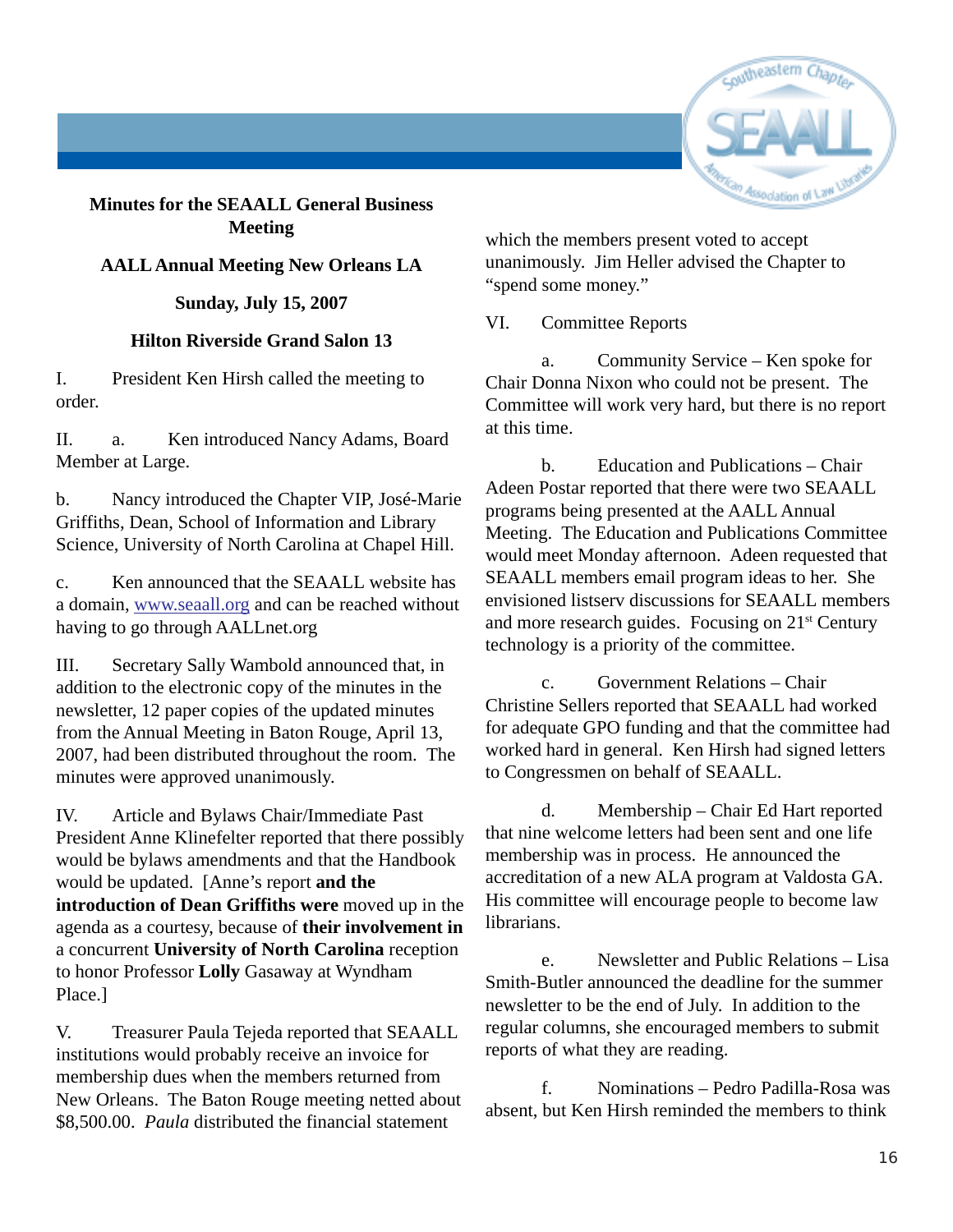

#### **Minutes for the SEAALL General Business Meeting**

#### **AALL Annual Meeting New Orleans LA**

#### **Sunday, July 15, 2007**

#### **Hilton Riverside Grand Salon 13**

I. President Ken Hirsh called the meeting to order.

II. a. Ken introduced Nancy Adams, Board Member at Large.

b. Nancy introduced the Chapter VIP, José-Marie Griffiths, Dean, School of Information and Library Science, University of North Carolina at Chapel Hill.

c. Ken announced that the SEAALL website has a domain, www.seaall.org and can be reached without having to go through AALLnet.org

III. Secretary Sally Wambold announced that, in addition to the electronic copy of the minutes in the newsletter, 12 paper copies of the updated minutes from the Annual Meeting in Baton Rouge, April 13, 2007, had been distributed throughout the room. The minutes were approved unanimously.

IV. Article and Bylaws Chair/Immediate Past President Anne Klinefelter reported that there possibly would be bylaws amendments and that the Handbook would be updated. [Anne's report **and the introduction of Dean Griffiths were** moved up in the agenda as a courtesy, because of **their involvement in** a concurrent **University of North Carolina** reception to honor Professor **Lolly** Gasaway at Wyndham Place.]

V. Treasurer Paula Tejeda reported that SEAALL institutions would probably receive an invoice for membership dues when the members returned from New Orleans. The Baton Rouge meeting netted about \$8,500.00. *Paula* distributed the financial statement

which the members present voted to accept unanimously. Jim Heller advised the Chapter to "spend some money."

VI. Committee Reports

a. Community Service – Ken spoke for Chair Donna Nixon who could not be present. The Committee will work very hard, but there is no report at this time.

b. Education and Publications – Chair Adeen Postar reported that there were two SEAALL programs being presented at the AALL Annual Meeting. The Education and Publications Committee would meet Monday afternoon. Adeen requested that SEAALL members email program ideas to her. She envisioned listserv discussions for SEAALL members and more research guides. Focusing on 21st Century technology is a priority of the committee.

c. Government Relations – Chair Christine Sellers reported that SEAALL had worked for adequate GPO funding and that the committee had worked hard in general. Ken Hirsh had signed letters to Congressmen on behalf of SEAALL.

d. Membership – Chair Ed Hart reported that nine welcome letters had been sent and one life membership was in process. He announced the accreditation of a new ALA program at Valdosta GA. His committee will encourage people to become law librarians.

e. Newsletter and Public Relations – Lisa Smith-Butler announced the deadline for the summer newsletter to be the end of July. In addition to the regular columns, she encouraged members to submit reports of what they are reading.

f. Nominations – Pedro Padilla-Rosa was absent, but Ken Hirsh reminded the members to think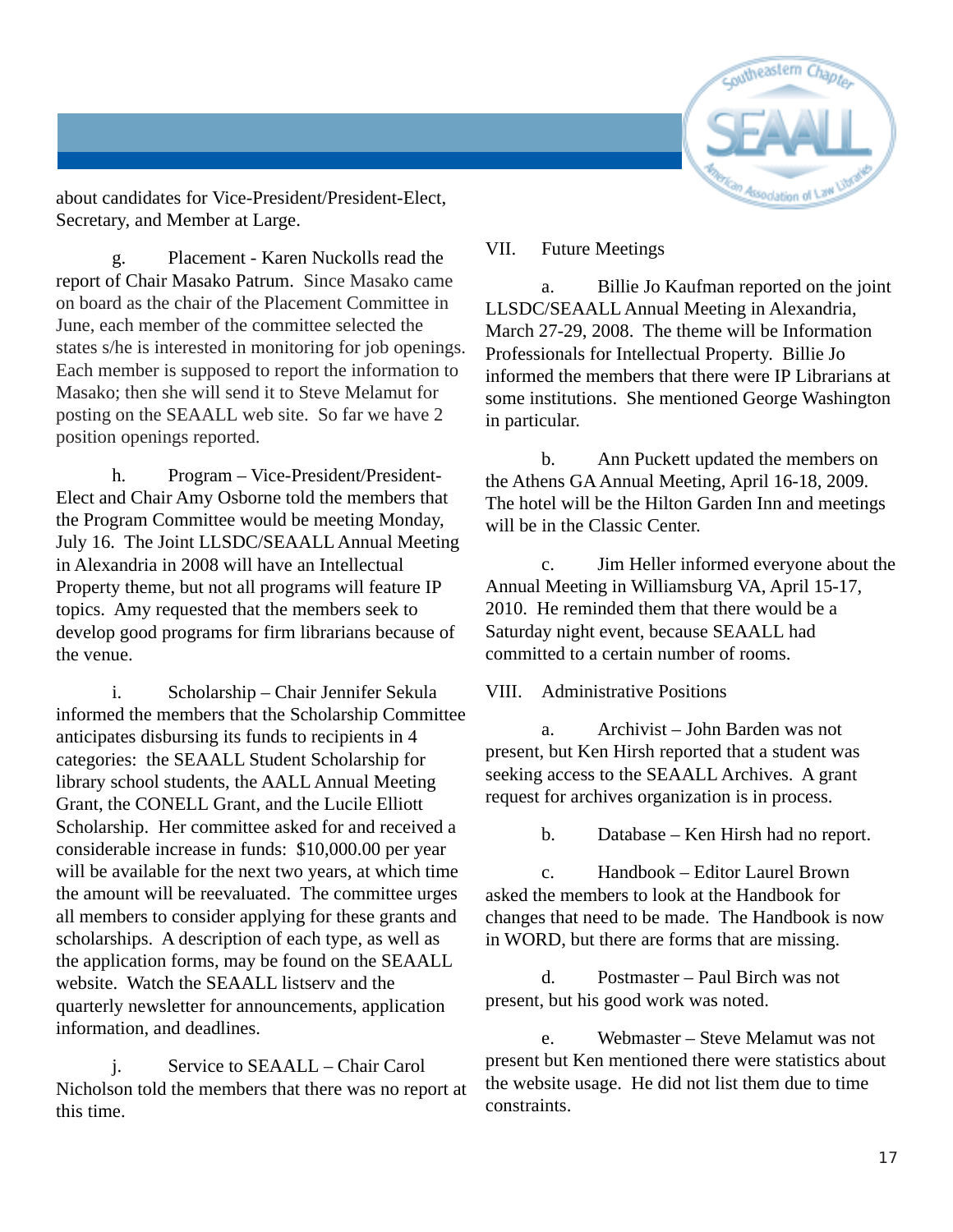

about candidates for Vice-President/President-Elect, Secretary, and Member at Large.

g. Placement - Karen Nuckolls read the report of Chair Masako Patrum. Since Masako came on board as the chair of the Placement Committee in June, each member of the committee selected the states s/he is interested in monitoring for job openings. Each member is supposed to report the information to Masako; then she will send it to Steve Melamut for posting on the SEAALL web site. So far we have 2 position openings reported.

h. Program – Vice-President/President-Elect and Chair Amy Osborne told the members that the Program Committee would be meeting Monday, July 16. The Joint LLSDC/SEAALL Annual Meeting in Alexandria in 2008 will have an Intellectual Property theme, but not all programs will feature IP topics. Amy requested that the members seek to develop good programs for firm librarians because of the venue.

i. Scholarship – Chair Jennifer Sekula informed the members that the Scholarship Committee anticipates disbursing its funds to recipients in 4 categories: the SEAALL Student Scholarship for library school students, the AALL Annual Meeting Grant, the CONELL Grant, and the Lucile Elliott Scholarship. Her committee asked for and received a considerable increase in funds: \$10,000.00 per year will be available for the next two years, at which time the amount will be reevaluated. The committee urges all members to consider applying for these grants and scholarships. A description of each type, as well as the application forms, may be found on the SEAALL website. Watch the SEAALL listserv and the quarterly newsletter for announcements, application information, and deadlines.

j. Service to SEAALL – Chair Carol Nicholson told the members that there was no report at this time.

#### VII. Future Meetings

a. Billie Jo Kaufman reported on the joint LLSDC/SEAALL Annual Meeting in Alexandria, March 27-29, 2008. The theme will be Information Professionals for Intellectual Property. Billie Jo informed the members that there were IP Librarians at some institutions. She mentioned George Washington in particular.

b. Ann Puckett updated the members on the Athens GA Annual Meeting, April 16-18, 2009. The hotel will be the Hilton Garden Inn and meetings will be in the Classic Center.

c. Jim Heller informed everyone about the Annual Meeting in Williamsburg VA, April 15-17, 2010. He reminded them that there would be a Saturday night event, because SEAALL had committed to a certain number of rooms.

VIII. Administrative Positions

a. Archivist – John Barden was not present, but Ken Hirsh reported that a student was seeking access to the SEAALL Archives. A grant request for archives organization is in process.

b. Database – Ken Hirsh had no report.

c. Handbook – Editor Laurel Brown asked the members to look at the Handbook for changes that need to be made. The Handbook is now in WORD, but there are forms that are missing.

d. Postmaster – Paul Birch was not present, but his good work was noted.

e. Webmaster – Steve Melamut was not present but Ken mentioned there were statistics about the website usage. He did not list them due to time constraints.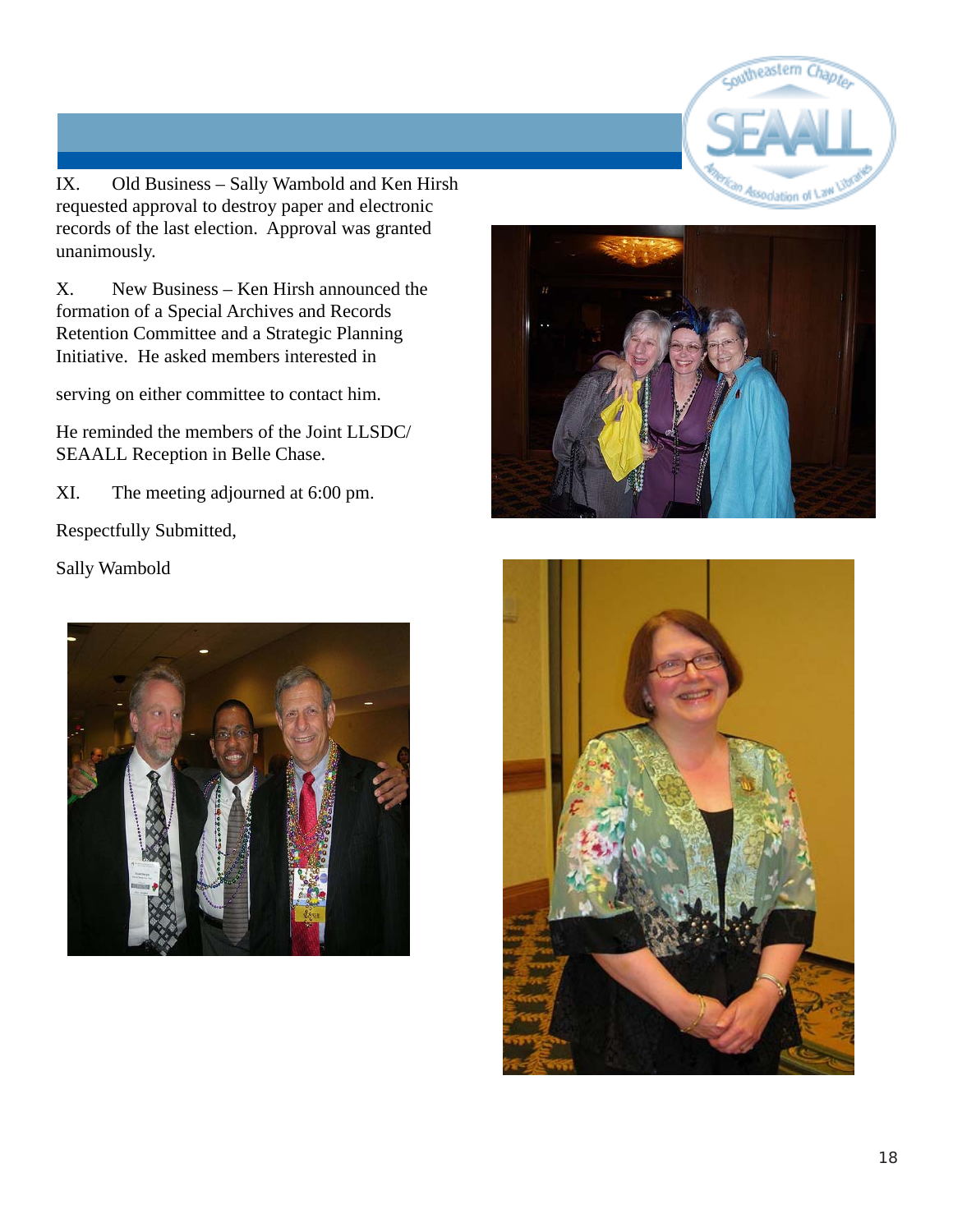

IX. Old Business – Sally Wambold and Ken Hirsh requested approval to destroy paper and electronic records of the last election. Approval was granted unanimously.

X. New Business – Ken Hirsh announced the formation of a Special Archives and Records Retention Committee and a Strategic Planning Initiative. He asked members interested in

serving on either committee to contact him.

He reminded the members of the Joint LLSDC/ SEAALL Reception in Belle Chase.

XI. The meeting adjourned at 6:00 pm.

Respectfully Submitted,

Sally Wambold





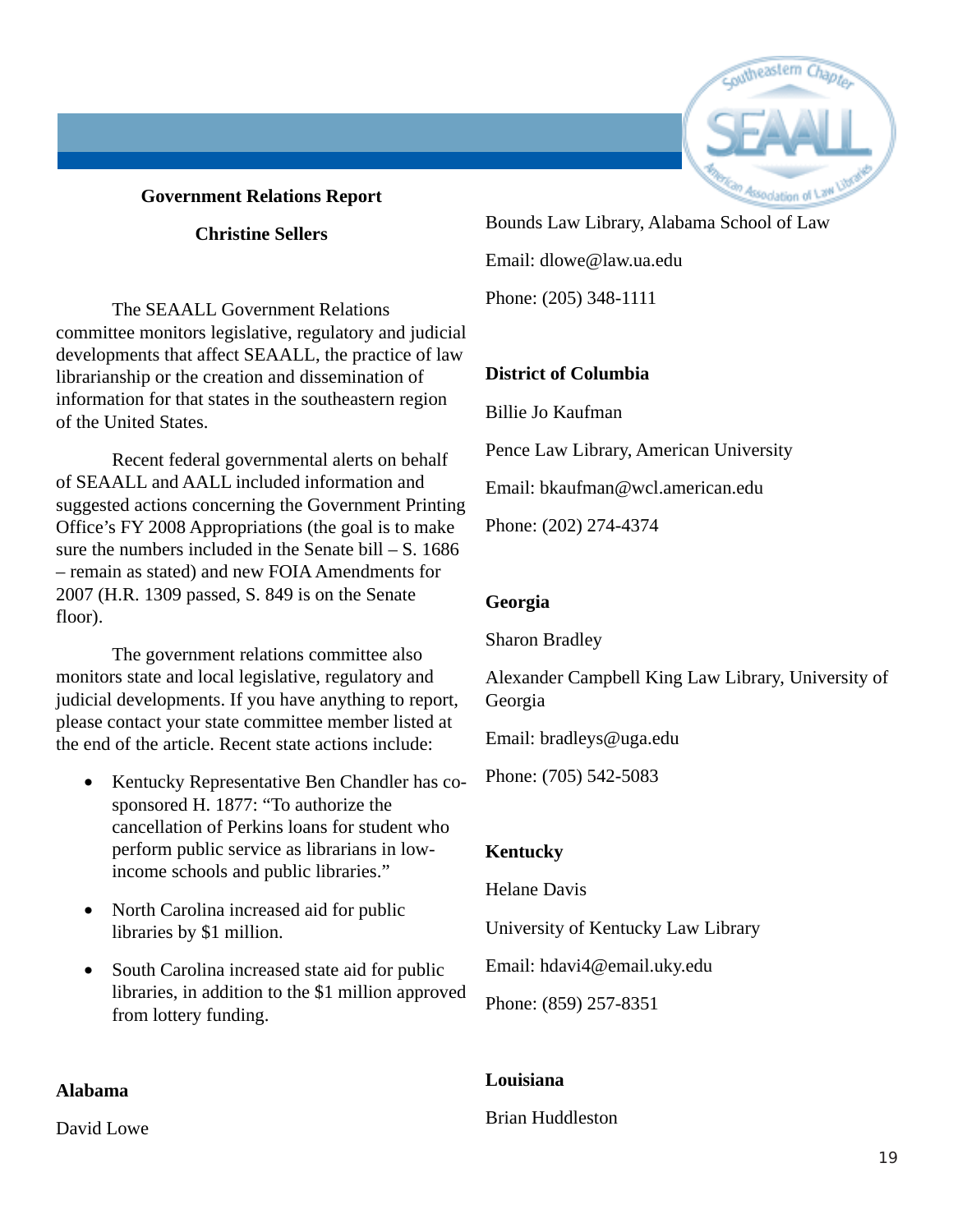#### **Government Relations Report**

#### **Christine Sellers**

The SEAALL Government Relations committee monitors legislative, regulatory and judicial developments that affect SEAALL, the practice of law librarianship or the creation and dissemination of information for that states in the southeastern region of the United States.

Recent federal governmental alerts on behalf of SEAALL and AALL included information and suggested actions concerning the Government Printing Office's FY 2008 Appropriations (the goal is to make sure the numbers included in the Senate bill  $- S$ . 1686 – remain as stated) and new FOIA Amendments for 2007 (H.R. 1309 passed, S. 849 is on the Senate floor).

The government relations committee also monitors state and local legislative, regulatory and judicial developments. If you have anything to report, please contact your state committee member listed at the end of the article. Recent state actions include:

- Kentucky Representative Ben Chandler has cosponsored H. 1877: "To authorize the cancellation of Perkins loans for student who perform public service as librarians in lowincome schools and public libraries."
- North Carolina increased aid for public libraries by \$1 million.
- South Carolina increased state aid for public libraries, in addition to the \$1 million approved from lottery funding.

#### **Alabama**

David Lowe



### Bounds Law Library, Alabama School of Law Email: dlowe@law.ua.edu

Phone: (205) 348-1111

#### **District of Columbia**

Billie Jo Kaufman

Pence Law Library, American University

Email: bkaufman@wcl.american.edu

Phone: (202) 274-4374

#### **Georgia**

Sharon Bradley

Alexander Campbell King Law Library, University of Georgia

Email: bradleys@uga.edu

Phone: (705) 542-5083

#### **Kentucky**

Helane Davis

University of Kentucky Law Library

Email: hdavi4@email.uky.edu

Phone: (859) 257-8351

#### **Louisiana**

Brian Huddleston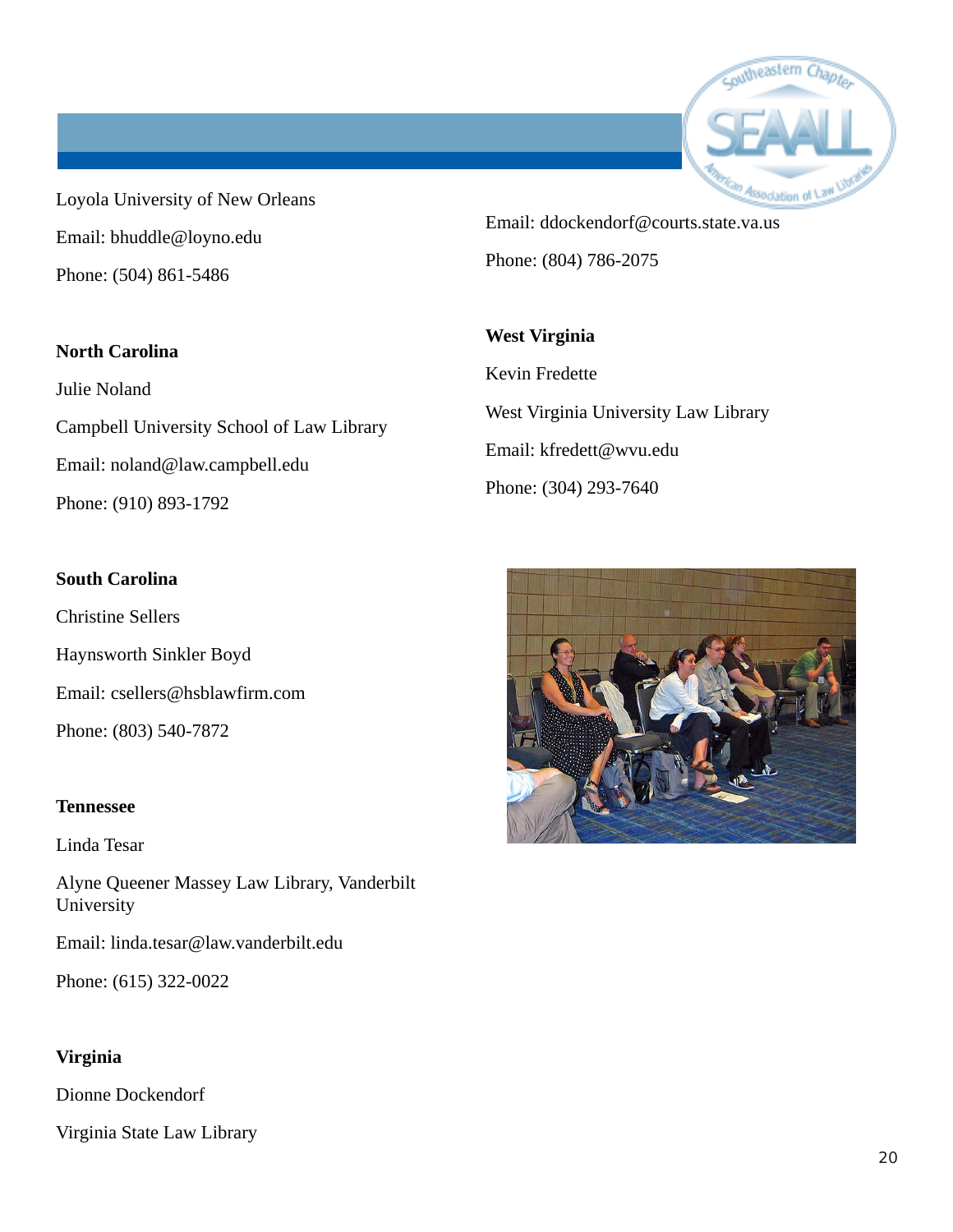

Loyola University of New Orleans Email: bhuddle@loyno.edu Phone: (504) 861-5486

Email: ddockendorf@courts.state.va.us Phone: (804) 786-2075

#### **North Carolina**

Julie Noland Campbell University School of Law Library Email: noland@law.campbell.edu Phone: (910) 893-1792

#### **South Carolina**

Christine Sellers Haynsworth Sinkler Boyd Email: csellers@hsblawfirm.com Phone: (803) 540-7872

#### **Tennessee**

Linda Tesar

Alyne Queener Massey Law Library, Vanderbilt University

Email: linda.tesar@law.vanderbilt.edu

Phone: (615) 322-0022

#### **Virginia**

Dionne Dockendorf

Virginia State Law Library

Kevin Fredette West Virginia University Law Library Email: kfredett@wvu.edu Phone: (304) 293-7640

**West Virginia**

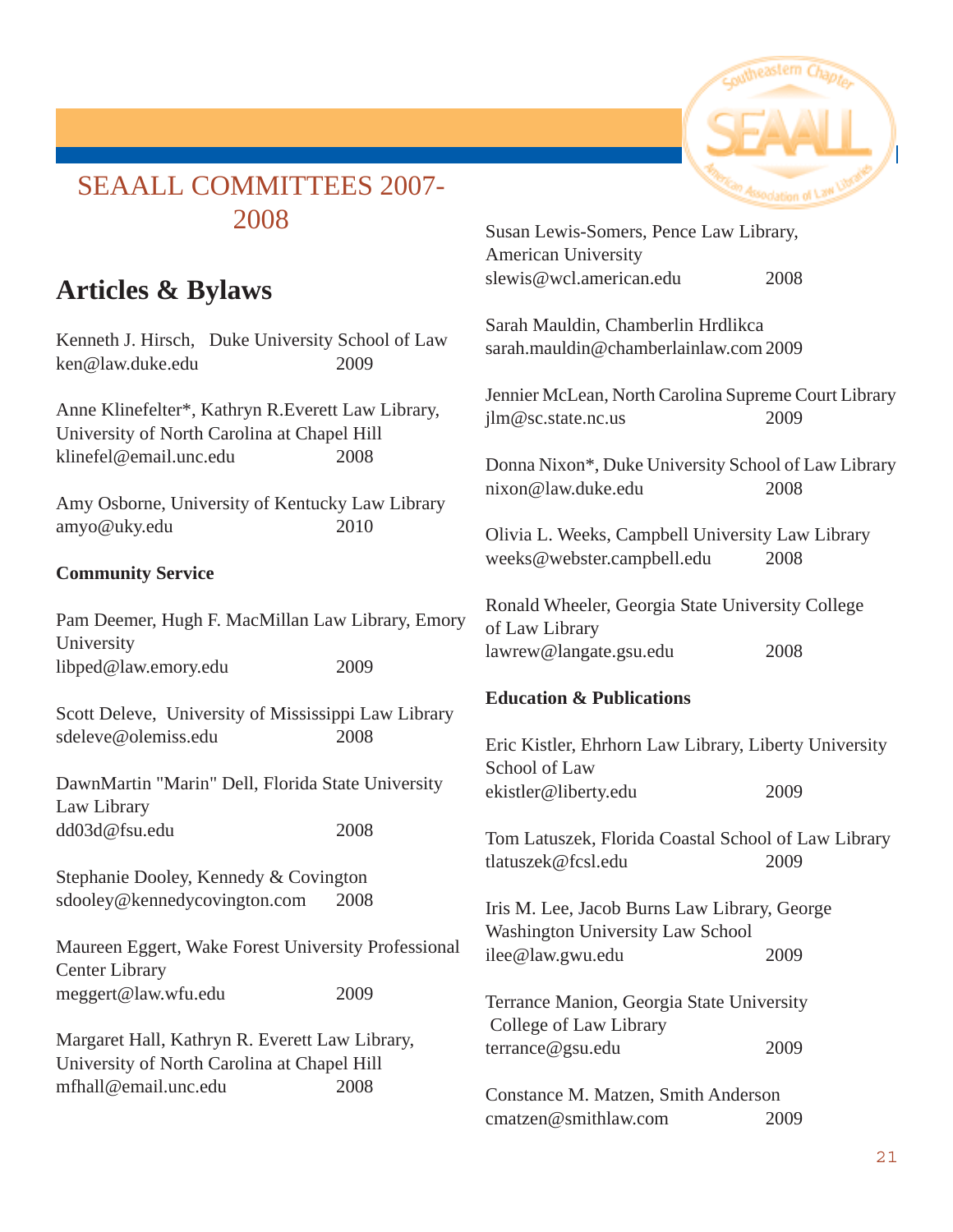

# SEAALL COMMITTEES 2007- 2008

# **Articles & Bylaws**

Kenneth J. Hirsch, Duke University School of Law ken@law.duke.edu 2009

Anne Klinefelter\*, Kathryn R.Everett Law Library, University of North Carolina at Chapel Hill klinefel@email.unc.edu 2008

Amy Osborne, University of Kentucky Law Library amyo@uky.edu 2010

#### **Community Service**

Pam Deemer, Hugh F. MacMillan Law Library, Emory University libped@law.emory.edu 2009

Scott Deleve, University of Mississippi Law Library sdeleve@olemiss.edu 2008

DawnMartin "Marin" Dell, Florida State University Law Library dd03d@fsu.edu 2008

Stephanie Dooley, Kennedy & Covington sdooley@kennedycovington.com 2008

Maureen Eggert, Wake Forest University Professional Center Library meggert@law.wfu.edu 2009

Margaret Hall, Kathryn R. Everett Law Library, University of North Carolina at Chapel Hill mfhall@email.unc.edu 2008

|                                                                                         | Association of Lath |
|-----------------------------------------------------------------------------------------|---------------------|
| Susan Lewis-Somers, Pence Law Library,<br>American University                           |                     |
| slewis@wcl.american.edu                                                                 | 2008                |
| Sarah Mauldin, Chamberlin Hrdlikca<br>sarah.mauldin@chamberlainlaw.com2009              |                     |
| Jennier McLean, North Carolina Supreme Court Library<br>jlm@sc.state.nc.us              | 2009                |
| Donna Nixon*, Duke University School of Law Library<br>nixon@law.duke.edu               | 2008                |
| Olivia L. Weeks, Campbell University Law Library<br>weeks@webster.campbell.edu          | 2008                |
| Ronald Wheeler, Georgia State University College<br>of Law Library                      |                     |
| lawrew@langate.gsu.edu                                                                  | 2008                |
| <b>Education &amp; Publications</b>                                                     |                     |
| Eric Kistler, Ehrhorn Law Library, Liberty University<br>School of Law                  |                     |
| ekistler@liberty.edu                                                                    | 2009                |
| Tom Latuszek, Florida Coastal School of Law Library<br>tlatuszek@fcsl.edu               | 2009                |
| Iris M. Lee, Jacob Burns Law Library, George<br><b>Washington University Law School</b> |                     |
| ilee@law.gwu.edu                                                                        | 2009                |
| Terrance Manion, Georgia State University<br>College of Law Library                     |                     |
| terrance@gsu.edu                                                                        | 2009                |
| Constance M. Matzen, Smith Anderson                                                     |                     |
| cmatzen@smithlaw.com                                                                    | 2009                |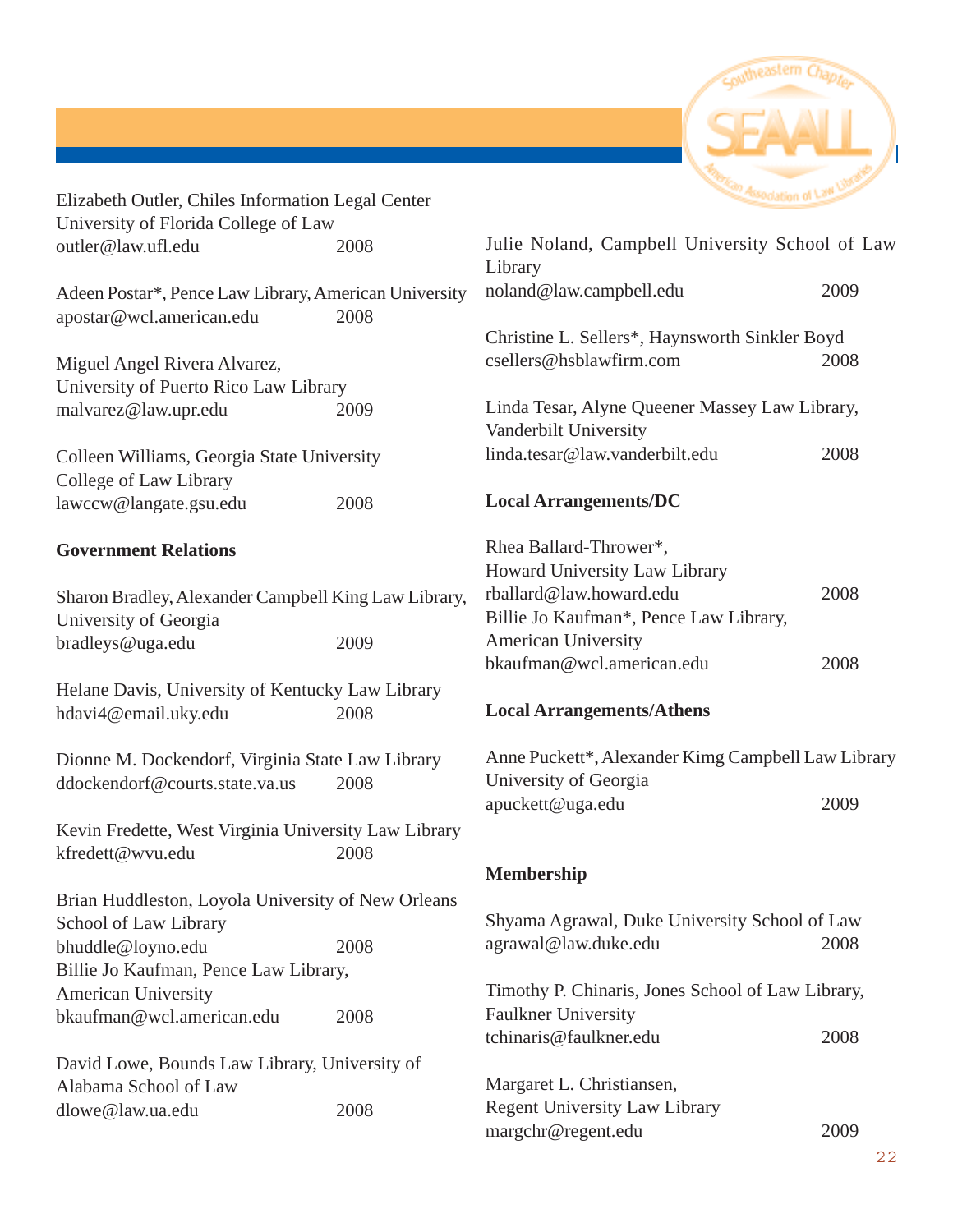

| Elizabeth Outler, Chiles Information Legal Center                    |      | Association of Lath                                                     |      |
|----------------------------------------------------------------------|------|-------------------------------------------------------------------------|------|
| University of Florida College of Law                                 |      |                                                                         |      |
| outler@law.ufl.edu                                                   | 2008 | Julie Noland, Campbell University School of Law<br>Library              |      |
| Adeen Postar*, Pence Law Library, American University                |      | noland@law.campbell.edu                                                 | 2009 |
| apostar@wcl.american.edu                                             | 2008 |                                                                         |      |
|                                                                      |      | Christine L. Sellers*, Haynsworth Sinkler Boyd                          |      |
| Miguel Angel Rivera Alvarez,                                         |      | csellers@hsblawfirm.com                                                 | 2008 |
| University of Puerto Rico Law Library                                |      |                                                                         |      |
| malvarez@law.upr.edu                                                 | 2009 | Linda Tesar, Alyne Queener Massey Law Library,<br>Vanderbilt University |      |
| Colleen Williams, Georgia State University<br>College of Law Library |      | linda.tesar@law.vanderbilt.edu                                          | 2008 |
| lawccw@langate.gsu.edu                                               | 2008 | <b>Local Arrangements/DC</b>                                            |      |
| <b>Government Relations</b>                                          |      | Rhea Ballard-Thrower*,<br>Howard University Law Library                 |      |
| Sharon Bradley, Alexander Campbell King Law Library,                 |      | rballard@law.howard.edu                                                 | 2008 |
| University of Georgia                                                |      | Billie Jo Kaufman*, Pence Law Library,                                  |      |
| bradleys@uga.edu                                                     | 2009 | <b>American University</b>                                              |      |
|                                                                      |      | bkaufman@wcl.american.edu                                               | 2008 |
| Helane Davis, University of Kentucky Law Library                     |      |                                                                         |      |
| hdavi4@email.uky.edu                                                 | 2008 | <b>Local Arrangements/Athens</b>                                        |      |
| Dionne M. Dockendorf, Virginia State Law Library                     |      | Anne Puckett*, Alexander Kimg Campbell Law Library                      |      |
| ddockendorf@courts.state.va.us                                       | 2008 | University of Georgia                                                   |      |
|                                                                      |      | apuckett@uga.edu                                                        | 2009 |
| Kevin Fredette, West Virginia University Law Library                 |      |                                                                         |      |
| kfredett@wvu.edu                                                     | 2008 |                                                                         |      |
|                                                                      |      | <b>Membership</b>                                                       |      |
| Brian Huddleston, Loyola University of New Orleans                   |      |                                                                         |      |
| School of Law Library                                                |      | Shyama Agrawal, Duke University School of Law                           |      |
| bhuddle@loyno.edu                                                    | 2008 | agrawal@law.duke.edu                                                    | 2008 |
| Billie Jo Kaufman, Pence Law Library,                                |      |                                                                         |      |
| <b>American University</b>                                           |      | Timothy P. Chinaris, Jones School of Law Library,                       |      |
| bkaufman@wcl.american.edu                                            | 2008 | <b>Faulkner University</b>                                              |      |
|                                                                      |      | tchinaris@faulkner.edu                                                  | 2008 |
| David Lowe, Bounds Law Library, University of                        |      |                                                                         |      |
| Alabama School of Law                                                |      | Margaret L. Christiansen,                                               |      |
| dlowe@law.ua.edu                                                     | 2008 | <b>Regent University Law Library</b>                                    |      |
|                                                                      |      | margchr@regent.edu                                                      | 2009 |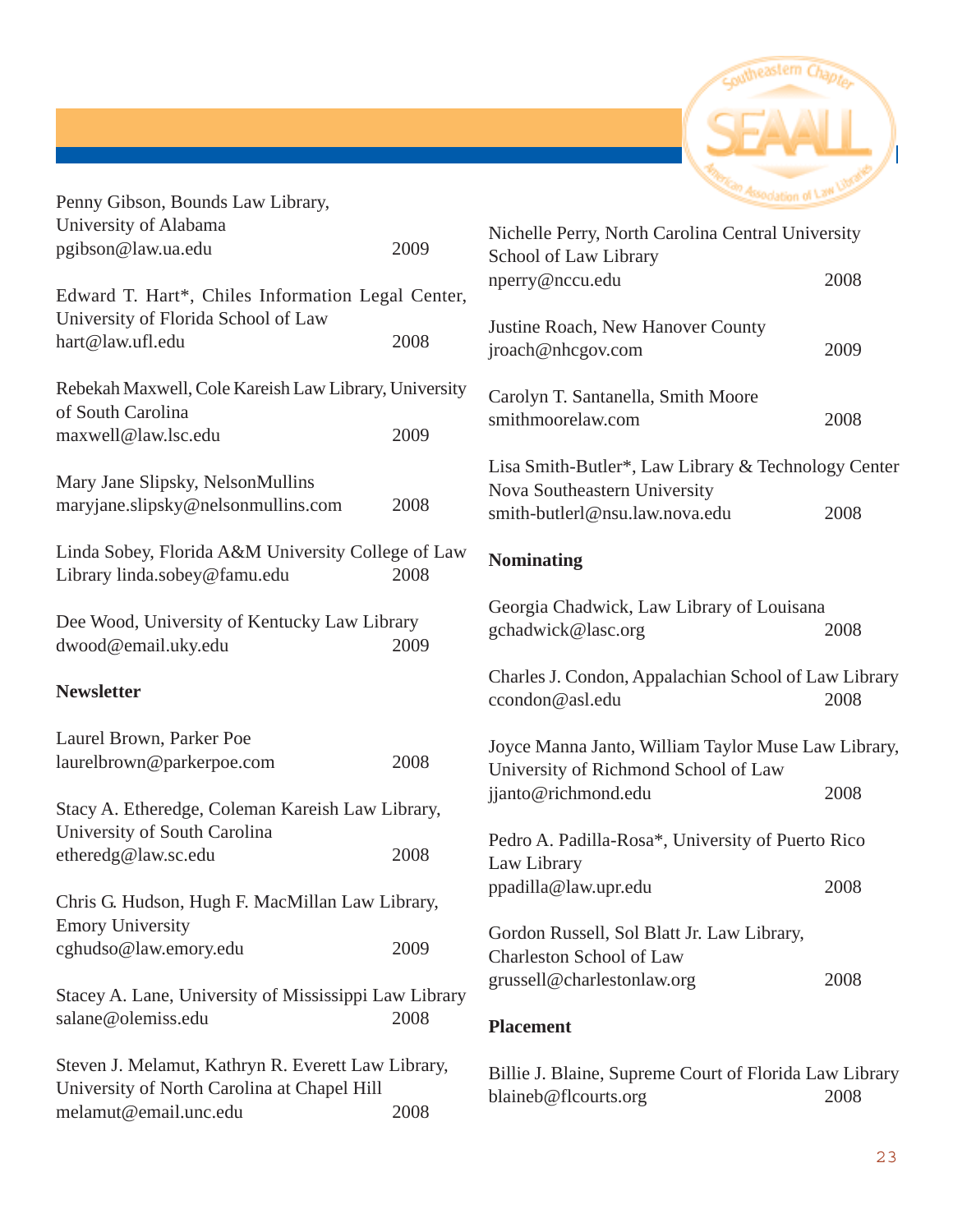

| Penny Gibson, Bounds Law Library,                                                                                          |                                                                                             |                                                                                                                       |      |
|----------------------------------------------------------------------------------------------------------------------------|---------------------------------------------------------------------------------------------|-----------------------------------------------------------------------------------------------------------------------|------|
| University of Alabama<br>pgibson@law.ua.edu                                                                                | 2009                                                                                        | Nichelle Perry, North Carolina Central University<br>School of Law Library                                            |      |
| Edward T. Hart*, Chiles Information Legal Center,                                                                          |                                                                                             | nperry@nccu.edu                                                                                                       | 2008 |
| University of Florida School of Law<br>hart@law.ufl.edu                                                                    | 2008                                                                                        | Justine Roach, New Hanover County<br>jroach@nhcgov.com                                                                | 2009 |
| of South Carolina                                                                                                          | Rebekah Maxwell, Cole Kareish Law Library, University<br>Carolyn T. Santanella, Smith Moore |                                                                                                                       |      |
| maxwell@law.lsc.edu                                                                                                        | 2009                                                                                        | smithmoorelaw.com                                                                                                     | 2008 |
| Mary Jane Slipsky, NelsonMullins<br>maryjane.slipsky@nelsonmullins.com                                                     | 2008                                                                                        | Lisa Smith-Butler*, Law Library & Technology Center<br>Nova Southeastern University<br>smith-butlerl@nsu.law.nova.edu | 2008 |
| Linda Sobey, Florida A&M University College of Law<br>Library linda.sobey@famu.edu                                         | 2008                                                                                        | <b>Nominating</b>                                                                                                     |      |
| Dee Wood, University of Kentucky Law Library<br>dwood@email.uky.edu                                                        | 2009                                                                                        | Georgia Chadwick, Law Library of Louisana<br>gchadwick@lasc.org                                                       | 2008 |
| <b>Newsletter</b>                                                                                                          |                                                                                             | Charles J. Condon, Appalachian School of Law Library<br>ccondon@asl.edu                                               | 2008 |
| Laurel Brown, Parker Poe<br>laurelbrown@parkerpoe.com                                                                      | 2008                                                                                        | Joyce Manna Janto, William Taylor Muse Law Library,<br>University of Richmond School of Law                           |      |
| Stacy A. Etheredge, Coleman Kareish Law Library,                                                                           |                                                                                             | jjanto@richmond.edu                                                                                                   | 2008 |
| University of South Carolina<br>etheredg@law.sc.edu                                                                        | 2008                                                                                        | Pedro A. Padilla-Rosa*, University of Puerto Rico<br>Law Library                                                      |      |
| Chris G. Hudson, Hugh F. MacMillan Law Library,                                                                            |                                                                                             | ppadilla@law.upr.edu                                                                                                  | 2008 |
| <b>Emory University</b><br>cghudso@law.emory.edu                                                                           | 2009                                                                                        | Gordon Russell, Sol Blatt Jr. Law Library,<br><b>Charleston School of Law</b>                                         |      |
| Stacey A. Lane, University of Mississippi Law Library<br>salane@olemiss.edu                                                | 2008                                                                                        | grussell@charlestonlaw.org<br><b>Placement</b>                                                                        | 2008 |
| Steven J. Melamut, Kathryn R. Everett Law Library,<br>University of North Carolina at Chapel Hill<br>melamut@email.unc.edu | 2008                                                                                        | Billie J. Blaine, Supreme Court of Florida Law Library<br>blaineb@flcourts.org                                        | 2008 |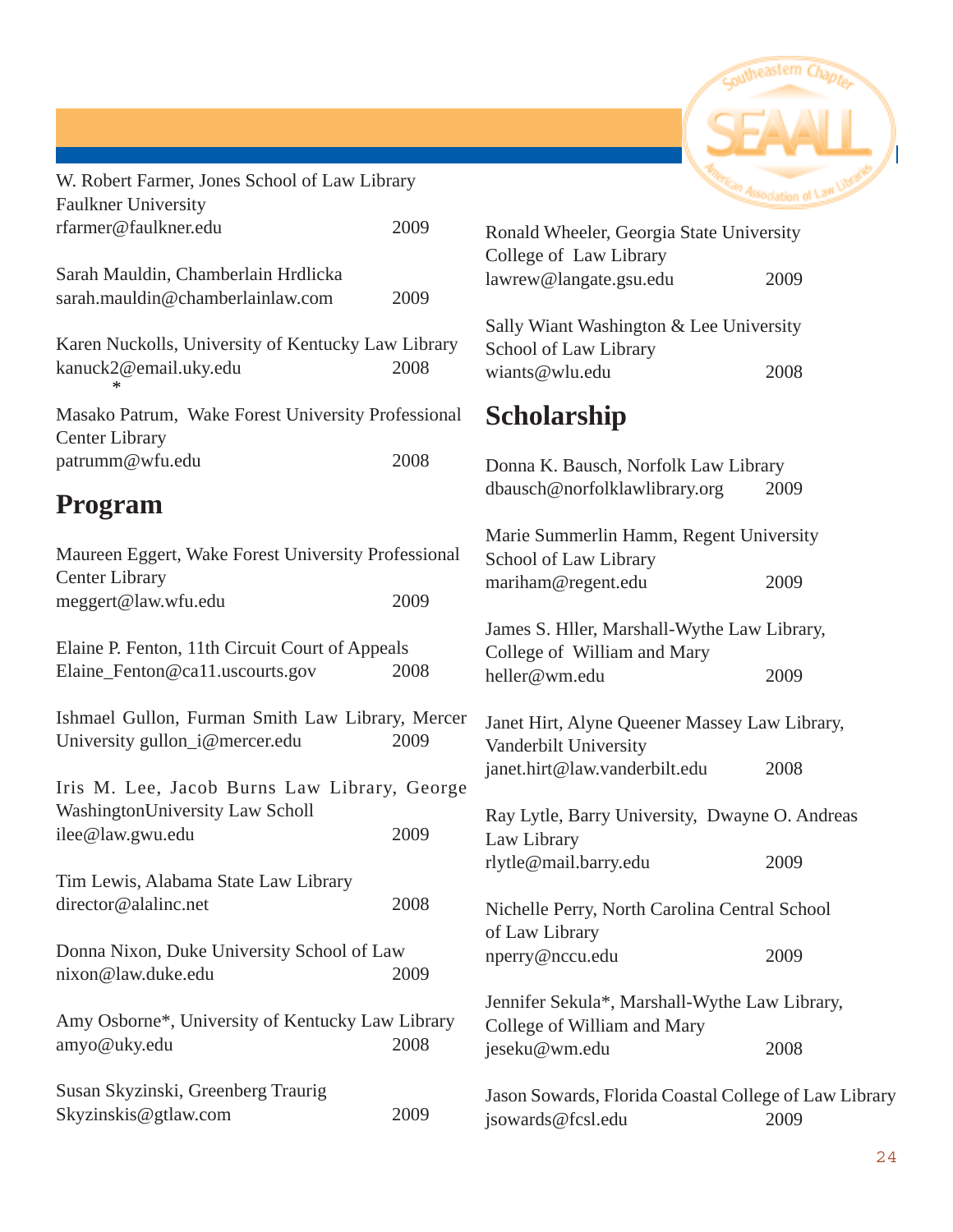

| W. Robert Farmer, Jones School of Law Library<br><b>Faulkner University</b>                         |      |                                                 |
|-----------------------------------------------------------------------------------------------------|------|-------------------------------------------------|
| rfarmer@faulkner.edu                                                                                | 2009 | Ronald Whee                                     |
| Sarah Mauldin, Chamberlain Hrdlicka<br>sarah.mauldin@chamberlainlaw.com                             | 2009 | College of L<br>lawrew@lang                     |
| Karen Nuckolls, University of Kentucky Law Library<br>kanuck2@email.uky.edu                         | 2008 | Sally Wiant V<br>School of La<br>wiants@wlu.    |
| Masako Patrum, Wake Forest University Professional<br><b>Center Library</b>                         |      | <b>Scholars</b>                                 |
| patrumm@wfu.edu                                                                                     | 2008 | Donna K. Ba                                     |
| <b>Program</b>                                                                                      |      | dbausch@no                                      |
| Maureen Eggert, Wake Forest University Professional<br><b>Center Library</b><br>meggert@law.wfu.edu | 2009 | Marie Summ<br>School of La<br>mariham@re        |
|                                                                                                     |      | James S. Hlle                                   |
| Elaine P. Fenton, 11th Circuit Court of Appeals<br>Elaine_Fenton@ca11.uscourts.gov                  | 2008 | College of V<br>heller@wm.e                     |
| Ishmael Gullon, Furman Smith Law Library, Mercer<br>University gullon_i@mercer.edu                  | 2009 | Janet Hirt, Al<br>Vanderbilt U<br>janet.hirt@la |
| Iris M. Lee, Jacob Burns Law Library, George<br>WashingtonUniversity Law Scholl                     |      | Ray Lytle, Ba                                   |
| ilee@law.gwu.edu                                                                                    | 2009 | Law Library<br>rlytle@mail.                     |
| Tim Lewis, Alabama State Law Library                                                                |      |                                                 |
| director@alalinc.net                                                                                | 2008 | Nichelle Perr<br>of Law Libra                   |
| Donna Nixon, Duke University School of Law<br>nixon@law.duke.edu<br>2009                            |      | nperry@nccu                                     |
| Amy Osborne*, University of Kentucky Law Library<br>amyo@uky.edu                                    | 2008 | Jennifer Seku<br>College of W<br>jeseku@wm.     |
| Susan Skyzinski, Greenberg Traurig<br>Skyzinskis@gtlaw.com                                          | 2009 | <b>Jason Soward</b><br>isowards@fc              |

| Ronald Wheeler, Georgia State University                                   |      |
|----------------------------------------------------------------------------|------|
| College of Law Library                                                     |      |
| lawrew@langate.gsu.edu                                                     | 2009 |
| Sally Wiant Washington & Lee University<br>School of Law Library           |      |
| wiants@wlu.edu                                                             | 2008 |
| <b>Scholarship</b>                                                         |      |
| Donna K. Bausch, Norfolk Law Library                                       |      |
| dbausch@norfolklawlibrary.org                                              | 2009 |
| Marie Summerlin Hamm, Regent University<br>School of Law Library           |      |
| mariham@regent.edu                                                         | 2009 |
| James S. Hller, Marshall-Wythe Law Library,<br>College of William and Mary |      |
| heller@wm.edu                                                              | 2009 |
| Janet Hirt, Alyne Queener Massey Law Library,<br>Vanderbilt University     |      |
| janet.hirt@law.vanderbilt.edu                                              | 2008 |
| Ray Lytle, Barry University, Dwayne O. Andreas<br>Law Library              |      |
| rlytle@mail.barry.edu                                                      | 2009 |
| Nichelle Perry, North Carolina Central School<br>of Law Library            |      |
| nperry@nccu.edu                                                            | 2009 |
| Jennifer Sekula*, Marshall-Wythe Law Library,                              |      |

Villiam and Mary  $j$ edu  $2008$ 

ds, Florida Coastal College of Law Library jsowards@fcsl.edu 2009